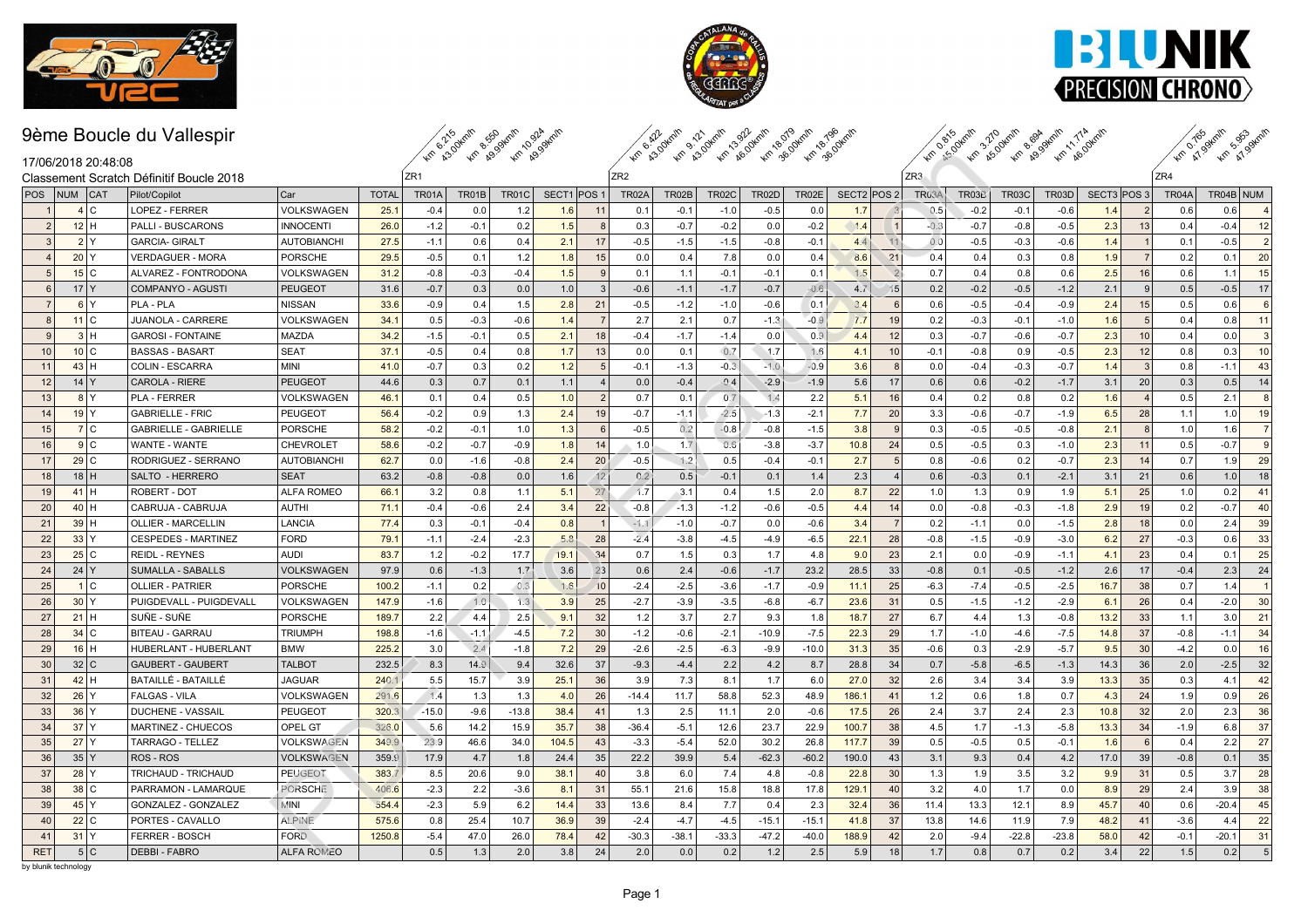





### 9ème Boucle du Vallespir

 $_{7R2}$ km R30 km R99 km R994 km km kalakur adalah kalakur adalah kalakur.<br>Km kalakur adalah kalakur adalah kalakur



| 17/06/2018 20:48:08                            |
|------------------------------------------------|
| 2018 وClassement Scratch Définitif Roucle 2018 |

| 17/06/2018 20:48:08  |                   |                                          |                    |              |                 | <b>AM A3.0 AM AS.0</b> | 46.59        |                       | $\mathscr{P}$   | $\frac{1}{2}$ |              |              | <b>AS AS AS AS AS AS AS AS ASS</b> |             |                 | AM ASU       |        | <b>4m</b> 69 4m 69. | <b>KM</b> 69 |             |                 | <b>Ver 41.92</b> | <b>KM</b> A <sup>19</sup> |                |
|----------------------|-------------------|------------------------------------------|--------------------|--------------|-----------------|------------------------|--------------|-----------------------|-----------------|---------------|--------------|--------------|------------------------------------|-------------|-----------------|--------------|--------|---------------------|--------------|-------------|-----------------|------------------|---------------------------|----------------|
|                      |                   | Classement Scratch Définitif Boucle 2018 |                    |              | ZR <sub>1</sub> |                        |              |                       | ZR <sub>2</sub> |               |              |              |                                    |             | ZR <sub>3</sub> |              |        |                     |              |             |                 | ZR4              |                           |                |
| POS                  | NUM CAT           | Pilot/Copilot                            | Car                | <b>TOTAL</b> | TR01A           | TR01B                  | <b>TR01C</b> | SECT1 POS             | TR02A           | TR02B         | <b>TR02C</b> | <b>TR02D</b> | TR02E                              | SECT2 POS 2 |                 | <b>TR03A</b> | TR03B  | <b>TR03C</b>        | <b>TR03D</b> | SECT3 POS 3 |                 | TR04A            | TR04B NUM                 |                |
|                      | 4C                | LOPEZ - FERRER                           | VOLKSWAGEN         | 25.1         | $-0.4$          | 0.0                    | 1.2          | 1.6<br>11             | 0.1             | $-0.1$        | $-1.0$       | $-0.5$       | 0.0                                | 1.7         |                 | 0.5          | $-0.2$ | $-0.1$              | $-0.6$       | 1.4         | $\overline{2}$  | 0.6              | 0.6                       | $\overline{4}$ |
| $\overline{2}$       | $12$ H            | <b>PALLI - BUSCARONS</b>                 | <b>INNOCENTI</b>   | 26.0         | $-1.2$          | $-0.1$                 | 0.2          | 1.5<br>$\mathsf{R}$   | 0.3             | $-0.7$        | $-0.2$       | 0.0          | $-0.2$                             | 1.4         | $\vert$ 1       | $-0.3$       | $-0.7$ | $-0.8$              | $-0.5$       | 2.3         | 13              | 0.4              | $-0.4$                    | 12             |
|                      | 2 Y               | <b>GARCIA- GIRALT</b>                    | <b>AUTOBIANCHI</b> | 27.5         | $-1.1$          | 0.6                    | 0.4          | 2.1<br>17             | $-0.5$          | $-1.5$        | $-1.5$       | $-0.8$       | $-0.1$                             | 44          | 11              | 0.0          | $-0.5$ | $-0.3$              | $-0.6$       | 1.4         |                 | 0.1              | $-0.5$                    | $\overline{2}$ |
|                      | $20$ Y            | <b>VERDAGUER - MORA</b>                  | <b>PORSCHE</b>     | 29.5         | $-0.5$          | 0.1                    | 1.2          | 1.8<br>15             | 0.0             | 0.4           | 7.8          | 0.0          | 0.4                                | 8.6         | 21              | 0.4          | 0.4    | 0.3                 | 0.8          | 1.9         | $\overline{7}$  | 0.2              | 0.1                       | 20             |
|                      | $15$ C            | ALVAREZ - FONTRODONA                     | VOLKSWAGEN         | 31.2         | $-0.8$          | $-0.3$                 | $-0.4$       | 1.5<br>$\mathbf{Q}$   | 0.1             | 1.1           | $-0.1$       | $-0.1$       | 0.1                                | 1.5         | $\sqrt{2}$      | 0.7          | 0.4    | 0.8                 | 0.6          | 2.5         | 16              | 0.6              | 1.1                       | 15             |
| 6                    | $17$ Y            | COMPANYO - AGUSTI                        | <b>PEUGEOT</b>     | 31.6         | $-0.7$          | 0.3                    | 0.0          | 1.0<br>3              | $-0.6$          | $-1.1$        | $-1.7$       | $-0.7$       | $-0.6$                             | 4.7         | 15              | 0.2          | $-0.2$ | $-0.5$              | $-1.2$       | 2.1         | 9               | 0.5              | $-0.5$                    | 17             |
| $\overline{7}$       | $6$ <sup>Y</sup>  | PLA - PLA                                | <b>NISSAN</b>      | 33.6         | $-0.9$          | 0.4                    | 1.5          | 21<br>2.8             | $-0.5$          | $-1.2$        | $-1.0$       | $-0.6$       | 0.1                                | 3.4         | $6\overline{6}$ | 0.6          | $-0.5$ | $-0.4$              | $-0.9$       | 2.4         | 15 <sup>1</sup> | 0.5              | 0.6                       | 6              |
| -8                   | $11$ C            | JUANOLA - CARRERE                        | VOLKSWAGEN         | 34.1         | 0.5             | $-0.3$                 | $-0.6$       | 1.4<br>$\overline{7}$ | 2.7             | 2.1           | 0.7          | $-1.3$       | $-0.9$                             | 7.7         | 19              | 0.2          | $-0.3$ | $-0.1$              | $-1.0$       | 1.6         | 5               | 0.4              | 0.8                       | 11             |
|                      | 3H                | <b>GAROSI - FONTAINE</b>                 | <b>MAZDA</b>       | 34.2         | $-1.5$          | $-0.1$                 | 0.5          | 2.1<br>18             | $-0.4$          | $-1.7$        | $-1.4$       | 0.0          | 0.9                                | 4.4         | 12              | 0.3          | $-0.7$ | $-0.6$              | $-0.7$       | 2.3         | 10              | 0.4              | 0.0                       | 3              |
| 10                   | 10 C              | <b>BASSAS - BASART</b>                   | <b>SEAT</b>        | 37.1         | $-0.5$          | 0.4                    | 0.8          | 1.7<br>13             | 0.0             | 0.1           | 0.7          | 1.7          | 1.6                                | 4.1         | 10              | $-0.1$       | $-0.8$ | 0.9                 | $-0.5$       | 2.3         | 12              | 0.8              | 0.3                       | 10             |
| 11                   | 43H               | COLIN - ESCARRA                          | <b>MINI</b>        | 41.0         | $-0.7$          | 0.3                    | 0.2          | 1.2<br>5              | $-0.1$          | $-1.3$        | $-0.3$       | $-1.0$       | $-0.9$                             | 3.6         | 8               | 0.0          | $-0.4$ | $-0.3$              | $-0.7$       | 1.4         | $\mathbf{3}$    | 0.8              | $-1.1$                    | 43             |
| 12                   | $14$ Y            | <b>CAROLA - RIERE</b>                    | <b>PEUGEOT</b>     | 44.6         | 0.3             | 0.7                    | 0.1          | 1.1                   | 0.0             | $-0.4$        | $-0.4$       | $-2.9$       | $-1.9$                             | 5.6         | 17              | 0.6          | 0.6    | $-0.2$              | $-1.7$       | 3.1         | 20              | 0.3              | 0.5                       | 14             |
| 13                   | 8 Y               | PLA - FERRER                             | VOLKSWAGEN         | 46.1         | 0.1             | 0.4                    | 0.5          | 1.0<br>$\overline{2}$ | 0.7             | 0.1           | 0.7          | 1.4          | 2.2                                | 5.1         | 16              | 0.4          | 0.2    | 0.8                 | 0.2          | 1.6         |                 | 0.5              | 2.1                       | 8              |
| 14                   | $19$ Y            | <b>GABRIELLE - FRIC</b>                  | <b>PEUGEOT</b>     | 56.4         | $-0.2$          | 0.9                    | 1.3          | 2.4<br>19             | $-0.7$          | $-1.1$        | $-2.5$       | $-1.3$       | $-2.1$                             | 7.7         | 20              | 3.3          | $-0.6$ | $-0.7$              | $-1.9$       | 6.5         | 28              | 1.1              | 1.0                       | 19             |
| 15                   | 7 C               | <b>GABRIELLE - GABRIELLE</b>             | <b>PORSCHE</b>     | 58.2         | $-0.2$          | $-0.1$                 | 1.0          | 1.3<br>6              | $-0.5$          | 0.2           | $-0.8$       | $-0.8$       | $-1.5$                             | 3.8         | $\mathbf{Q}$    | 0.3          | $-0.5$ | $-0.5$              | $-0.8$       | 2.1         | $\mathbf{R}$    | 1.0              | 1.6                       | $\overline{7}$ |
| 16                   | 9C                | WANTE - WANTE                            | <b>CHEVROLET</b>   | 58.6         | $-0.2$          | $-0.7$                 | $-0.9$       | 1.8<br>14             | 1.0             | 1.7           | 0.6          | $-3.8$       | $-3.7$                             | 10.8        | 24              | 0.5          | $-0.5$ | 0.3                 | $-1.0$       | 2.3         | 11              | 0.5              | $-0.7$                    | 9              |
| 17                   | $29$ C            | RODRIGUEZ - SERRANO                      | <b>AUTOBIANCHI</b> | 62.7         | 0.0             | $-1.6$                 | $-0.8$       | 2.4<br>20             | $-0.5$          | 1.2           | 0.5          | $-0.4$       | $-0.1$                             | 2.7         | 5               | 0.8          | $-0.6$ | 0.2                 | $-0.7$       | 2.3         | 14              | 0.7              | 1.9                       | 29             |
| 18                   | 18H               | SALTO - HERRERO                          | <b>SEAT</b>        | 63.2         | $-0.8$          | $-0.8$                 | 0.0          | 1.6<br>12             | 0.2             | 0.5           | $-0.1$       | 0.1          | 1.4                                | 2.3         | $\overline{4}$  | 0.6          | $-0.3$ | 0.1                 | $-2.1$       | 3.1         | 21              | 0.6              | 1.0                       | 18             |
| 19                   | 41H               | ROBERT - DOT                             | <b>ALFA ROMEO</b>  | 66.1         | 3.2             | 0.8                    | 1.1          | 5.1<br>27             | 1.7             | 3.1           | 0.4          | 1.5          | 2.0                                | 8.7         | 22              | 1.0          | 1.3    | 0.9                 | 1.9          | 5.1         | 25              | 1.0              | 0.2                       | 41             |
| 20                   | 40H               | CABRUJA - CABRUJA                        | AUTHI              | 71.1         | $-0.4$          | $-0.6$                 | 2.4          | 3.4<br>22             | $-0.8$          | $-1.3$        | $-1.2$       | $-0.6$       | $-0.5$                             | 4.4         | 14              | 0.0          | $-0.8$ | $-0.3$              | $-1.8$       | 2.9         | 19              | 0.2              | $-0.7$                    | 40             |
| 21                   | 39H               | <b>OLLIER - MARCELLIN</b>                | LANCIA             | 77.4         | 0.3             | $-0.1$                 | $-0.4$       | 0.8                   | $-1.1$          | $-1.0$        | $-0.7$       | 0.0          | $-0.6$                             | 3.4         | $\overline{7}$  | 0.2          | $-1.1$ | 0.0                 | $-1.5$       | 2.8         | 18              | 0.0              | 2.4                       | 39             |
| 22                   | 33 Y              | <b>CESPEDES - MARTINEZ</b>               | <b>FORD</b>        | 79.1         | $-1.1$          | $-2.4$                 | $-2.3$       | 5.8<br>28             | $-2.4$          | $-3.8$        | $-4.5$       | $-4.9$       | $-6.5$                             | 22.1        | 28              | $-0.8$       | $-1.5$ | $-0.9$              | $-3.0$       | 6.2         | 27              | $-0.3$           | 0.6                       | 33             |
| 23                   | $25$ C            | <b>REIDL - REYNES</b>                    | <b>AUDI</b>        | 83.7         | 1.2             | $-0.2$                 | 17.7         | 34<br>19.1            | 0.7             | 1.5           | 0.3          | 1.7          | 4.8                                | 9.0         | 23              | 2.1          | 0.0    | $-0.9$              | $-1.1$       | 4.1         | 23              | 0.4              | 0.1                       | 25             |
| 24                   | 24 Y              | SUMALLA - SABALLS                        | VOLKSWAGEN         | 97.9         | 0.6             | $-1.3$                 | 1.7          | 3.6<br>23             | 0.6             | 2.4           | $-0.6$       | $-1.7$       | 23.2                               | 28.5        | 33              | $-0.8$       | 0.1    | $-0.5$              | $-1.2$       | 2.6         | 17              | $-0.4$           | 2.3                       | 24             |
| 25                   | 1 C               | <b>OLLIER - PATRIER</b>                  | <b>PORSCHE</b>     | 100.2        | $-1.1$          | 0.2                    | $-0.3$       | 1.6<br>10             | $-2.4$          | $-2.5$        | $-3.6$       | $-1.7$       | $-0.9$                             | 11.1        | 25              | $-6.3$       | $-7.4$ | $-0.5$              | $-2.5$       | 16.7        | 38              | 0.7              | 1.4                       |                |
| 26                   | 30 Y              | PUIGDEVALL - PUIGDEVALL                  | VOLKSWAGEN         | 147.9        | $-1.6$          | 1.0                    | 1.3          | 3.9<br>25             | $-2.7$          | $-3.9$        | $-3.5$       | $-6.8$       | $-6.7$                             | 23.6        | 31              | 0.5          | $-1.5$ | $-1.2$              | $-2.9$       | 6.1         | 26              | 0.4              | $-2.0$                    | 30             |
| 27                   | $21$ H            | SUÑE - SUÑE                              | <b>PORSCHE</b>     | 189.7        | 2.2             | 4.4                    | 2.5          | 32<br>9.1             | 1.2             | 3.7           | 2.7          | 9.3          | 1.8                                | 18.7        | 27              | 6.7          | 4.4    | 1.3                 | $-0.8$       | 13.2        | 33              | 1.1              | 3.0                       | 21             |
| 28                   | $34$ C            | <b>BITEAU - GARRAU</b>                   | <b>TRIUMPH</b>     | 198.8        | $-1.6$          | $-1.1$                 | $-4.5$       | 7.2<br>30             | $-1.2$          | $-0.6$        | $-2.1$       | $-10.9$      | $-7.5$                             | 22.3        | 29              | 1.7          | $-1.0$ | $-4.6$              | $-7.5$       | 14.8        | 37              | $-0.8$           | $-1.1$                    | 34             |
| 29                   | $16$ H            | HUBERLANT - HUBERLANT                    | <b>BMW</b>         | 225.2        | 3.0             | 2.4                    | $-1.8$       | 7.2<br>29             | $-2.6$          | $-2.5$        | $-6.3$       | $-9.9$       | $-10.0$                            | 31.3        | 35              | $-0.6$       | 0.3    | $-2.9$              | $-5.7$       | 9.5         | 30              | $-4.2$           | 0.0                       | 16             |
| 30                   | 32 C              | <b>GAUBERT - GAUBERT</b>                 | <b>TALBOT</b>      | 232.5        | 8.3             | 14.9                   | 9.4          | 32.6<br>37            | $-9.3$          | $-4.4$        | 2.2          | 4.2          | 8.7                                | 28.8        | 34              | 0.7          | $-5.8$ | $-6.5$              | $-1.3$       | 14.3        | 36              | 2.0              | $-2.5$                    | 32             |
| 31                   | 42H               | BATAILLÉ - BATAILLÉ                      | <b>JAGUAR</b>      | 240.1        | 5.5             | 15.7                   | 3.9          | 25.1<br>36            | 3.9             | 7.3           | 8.1          | 1.7          | 6.0                                | 27.0        | 32              | 2.6          | 3.4    | 3.4                 | 3.9          | 13.3        | 35              | 0.3              | 4.1                       | 42             |
| 32                   | $26$ <sup>Y</sup> | <b>FALGAS - VILA</b>                     | VOLKSWAGEN         | 291.6        | 1.4             | 1.3                    | 1.3          | 26<br>4.0             | $-14.4$         | 11.7          | 58.8         | 52.3         | 48.9                               | 186.1       | 41              | 1.2          | 0.6    | 1.8                 | 0.7          | 4.3         | 24              | 1.9              | 0.9                       | 26             |
| 33                   | $36$ Y            | <b>DUCHENE - VASSAIL</b>                 | PEUGEOT            | 320.3        | $-15.0$         | $-9.6$                 | $-13.8$      | 38.4<br>41            | 1.3             | 2.5           | 11.1         | 2.0          | $-0.6$                             | 17.5        | 26              | 2.4          | 3.7    | 2.4                 | 2.3          | 10.8        | 32              | 2.0              | 2.3                       | 36             |
| 34                   | $37$ Y            | MARTINEZ - CHUECOS                       | <b>OPEL GT</b>     | 326.0        | 5.6             | 14.2                   | 15.9         | 35.7<br>38            | $-36.4$         | $-5.1$        | 12.6         | 23.7         | 22.9                               | 100.7       | 38              | 4.5          | 1.7    | $-1.3$              | $-5.8$       | 13.3        | 34              | $-1.9$           | 6.8                       | 37             |
| 35                   | $27$ $Y$          | <b>TARRAGO - TELLEZ</b>                  | VOLKSWAGEN         | 349.9        | 23.9            | 46.6                   | 34.0         | 43<br>104.5           | $-3.3$          | $-5.4$        | 52.0         | 30.2         | 26.8                               | 117.7       | 39              | 0.5          | $-0.5$ | 0.5                 | $-0.1$       | 1.6         | 6               | 0.4              | 2.2                       | 27             |
| 36                   | 35 Y              | ROS - ROS                                | <b>VOLKSWAGEN</b>  | 359.9        | 17.9            | 4.7                    | 1.8          | 35<br>24.4            | 22.2            | 39.9          | 5.4          | $-62.3$      | $-60.2$                            | 190.0       | 43              | 3.1          | 9.3    | 0.4                 | 4.2          | 17.0        | 39              | $-0.8$           | 0.1                       | 35             |
| 37                   | $28$ Y            | TRICHAUD - TRICHAUD                      | <b>PEUGEOT</b>     | 383.7        | 8.5             | 20.6                   | 9.0          | 38.1<br>40            | 3.8             | 6.0           | 7.4          | 4.8          | $-0.8$                             | 22.8        | 30              | 1.3          | 1.9    | 3.5                 | 3.2          | 9.9         | 31              | 0.5              | 3.7                       | 28             |
| 38                   | $38$ C            | PARRAMON - LAMARQUE                      | PORSCHE            | 406.6        | $-2.3$          | 2.2                    | $-3.6$       | 8.1<br>31             | 55.1            | 21.6          | 15.8         | 18.8         | 17.8                               | 129.1       | 40              | 3.2          | 4.0    | 1.7                 | 0.0          | 8.9         | 29              | 2.4              | 3.9                       | 38             |
| 39                   | $45$ Y            | GONZALEZ - GONZALEZ                      | <b>MINI</b>        | 554.4        | $-2.3$          | 5.9                    | 6.2          | 14.4<br>33            | 13.6            | 8.4           | 7.7          | 0.4          | 2.3                                | 32.4        | 36              | 11.4         | 13.3   | 12.1                | 8.9          | 45.7        | 40              | 0.6              | $-20.4$                   | 45             |
| 40                   | $22$ C            | PORTES - CAVALLO                         | <b>ALPINE</b>      | 575.6        | 0.8             | 25.4                   | 10.7         | 36.9<br>39            | $-2.4$          | $-4.7$        | $-4.5$       | $-15.1$      | $-15.1$                            | 41.8        | 37              | 13.8         | 14.6   | 11.9                | 7.9          | 48.2        | 41              | $-3.6$           | 4.4                       | 22             |
| 41                   | $31$ Y            | FERRER - BOSCH                           | FORD.              | 1250.8       | $-5.4$          | 47.0                   | 26.0         | 78.4<br>42            | $-30.3$         | $-38.1$       | $-33.3$      | $-47.2$      | $-40.0$                            | 188.9       | 42              | 2.0          | $-9.4$ | $-22.8$             | $-23.8$      | 58.0        | 42              | $-0.1$           | $-20.1$                   | 31             |
| <b>RET</b>           | 5 C               | <b>DEBBI-FABRO</b>                       | <b>ALFA ROMEO</b>  |              | 0.5             | 1.3                    | 2.0          | 3.8<br>24             | 2.0             | 0.0           | 0.2          | 1.2          | 2.5                                | 5.9         | 18              | 1.7          | 0.8    | 0.7                 | 0.2          | 3.4         | 22              | 1.5              | 0.2                       | 5              |
| by blunik technology |                   |                                          |                    |              |                 |                        |              |                       |                 |               |              |              |                                    |             |                 |              |        |                     |              |             |                 |                  |                           |                |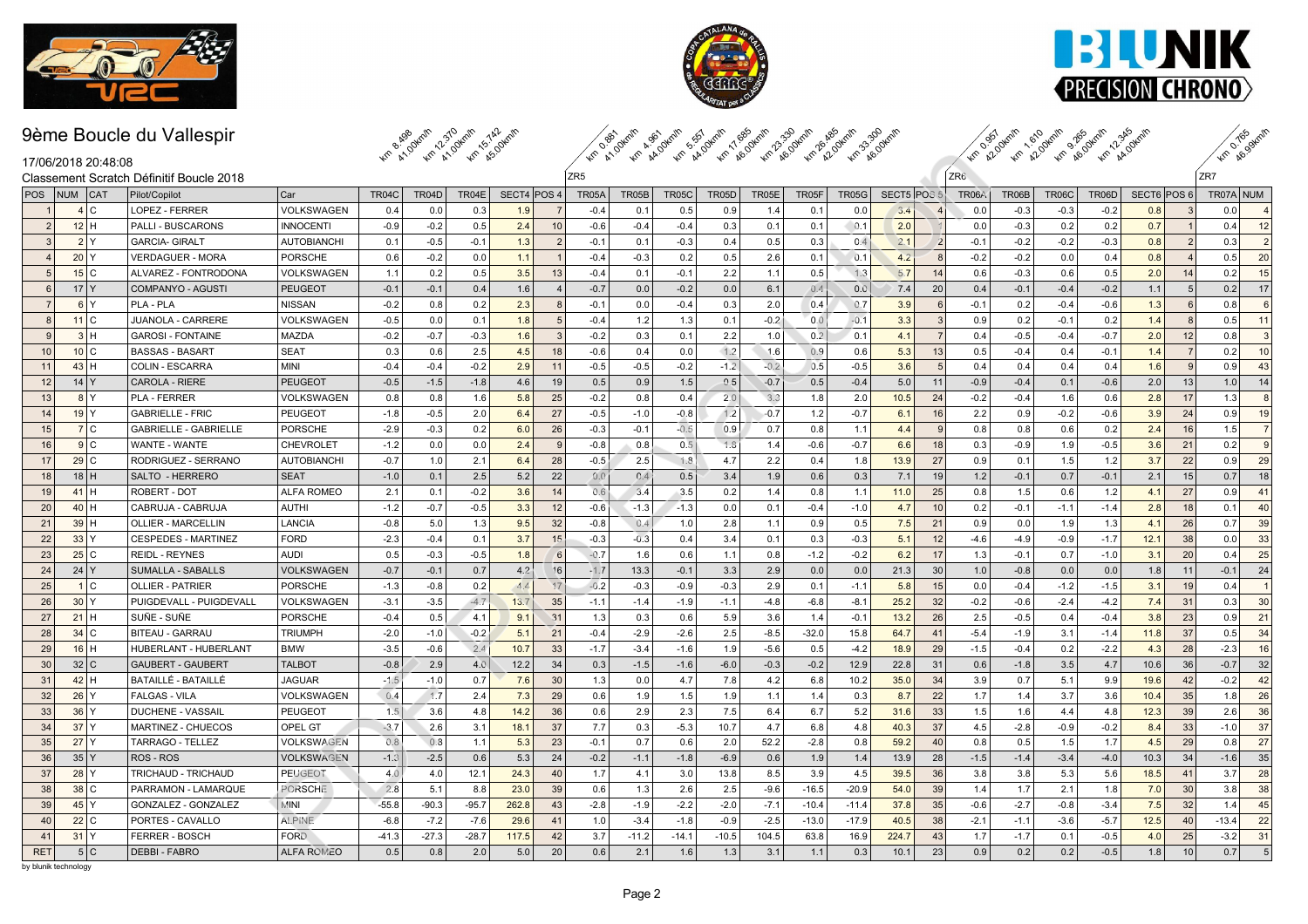





Km a ves gkm/h

### 9ème Boucle du Vallespir



| 17/06/2018 20:48:08        |                                          |                    |              | <b>40 A1,0 40 A1,0 40 AS</b> |         |             |                |                 |         | 10 AV 40 AV 40 AV 40 AV 40 AV 60 40 AV 40 AV 40 AV 40 AV |              |        |         |              |             |                |                 | Am 22.0 Am 22.0 Am 20.0 Am 24.0 |              |              |             |                | $\mathscr{P}$         |
|----------------------------|------------------------------------------|--------------------|--------------|------------------------------|---------|-------------|----------------|-----------------|---------|----------------------------------------------------------|--------------|--------|---------|--------------|-------------|----------------|-----------------|---------------------------------|--------------|--------------|-------------|----------------|-----------------------|
|                            | Classement Scratch Définitif Boucle 2018 |                    |              |                              |         |             |                | ZR <sub>5</sub> |         |                                                          |              |        |         |              |             |                | ZR <sub>6</sub> |                                 |              |              |             |                | ZR7                   |
| NUM<br>  <b>CAT</b><br>POS | Pilot/Copilot                            | Car                | <b>TR04C</b> | TR04D                        | TR04E   | SECT4 POS 4 |                | TR05A           | TR05B   | <b>TR05C</b>                                             | <b>TR05D</b> | TR05E  | TR05F   | <b>TR05G</b> | SECT5 POS 5 |                | <b>TR06A</b>    | TR06B                           | <b>TR06C</b> | <b>TR06D</b> | SECT6 POS 6 |                | TR07A NUM             |
| 4C                         | LOPEZ - FERRER                           | <b>VOLKSWAGEN</b>  | 0.4          | 0.0                          | 0.3     | 1.9         |                | $-0.4$          | 0.1     | 0.5                                                      | 0.9          | 1.4    | 0.1     | 0.0          | 3.4         |                | 0.0             | $-0.3$                          | $-0.3$       | $-0.2$       | 0.8         | $\mathbf{3}$   | 0.0<br>$\overline{4}$ |
| 2 <sup>1</sup><br>$12$ H   | <b>PALLI - BUSCARONS</b>                 | <b>INNOCENTI</b>   | $-0.9$       | $-0.2$                       | 0.5     | 2.4         | 10             | $-0.6$          | $-0.4$  | $-0.4$                                                   | 0.3          | 0.1    | 0.1     | 0.1          | 2.0         |                | 0.0             | $-0.3$                          | 0.2          | 0.2          | 0.7         | $\overline{1}$ | 12<br>0.4             |
| 2 Y<br> 3                  | <b>GARCIA- GIRALT</b>                    | <b>AUTOBIANCHI</b> | 0.1          | $-0.5$                       | $-0.1$  | 1.3         | $\overline{2}$ | $-0.1$          | 0.1     | $-0.3$                                                   | 0.4          | 0.5    | 0.3     | 0.4          | 2.1         | $\vert$ 2      | $-0.1$          | $-0.2$                          | $-0.2$       | $-0.3$       | 0.8         | $\overline{2}$ | 0.3<br>$\overline{2}$ |
| 20 Y                       | <b>VERDAGUER - MORA</b>                  | <b>PORSCHE</b>     | 0.6          | $-0.2$                       | 0.0     | 1.1         | $\mathbf{1}$   | $-0.4$          | $-0.3$  | 0.2                                                      | 0.5          | 2.6    | 0.1     | 0.1          | 4.2         | 8              | $-0.2$          | $-0.2$                          | 0.0          | 0.4          | 0.8         | $\overline{4}$ | 0.5<br>20             |
| 15 C<br>5                  | ALVAREZ - FONTRODONA                     | <b>VOLKSWAGEN</b>  | 1.1          | 0.2                          | 0.5     | 3.5         | 13             | $-0.4$          | 0.1     | $-0.1$                                                   | 2.2          | 1.1    | 0.5     | 1.3          | 5.7         | 14             | 0.6             | $-0.3$                          | 0.6          | 0.5          | 2.0         | 14             | 15<br>0.2             |
| $17$ Y<br>$6\overline{6}$  | COMPANYO - AGUSTI                        | <b>PEUGEOT</b>     | $-0.1$       | $-0.1$                       | 0.4     | 1.6         | $\overline{4}$ | $-0.7$          | 0.0     | $-0.2$                                                   | 0.0          | 6.1    | 0.4     | 0.0          | 7.4         | 20             | 0.4             | $-0.1$                          | $-0.4$       | $-0.2$       | 1.1         | 5              | 17<br>0.2             |
| $6$ $Y$<br>7 <sup>1</sup>  | PLA - PLA                                | <b>NISSAN</b>      | $-0.2$       | 0.8                          | 0.2     | 2.3         | 8              | $-0.1$          | 0.0     | $-0.4$                                                   | 0.3          | 2.0    | 0.4     | 0.7          | 3.9         | 6              | $-0.1$          | 0.2                             | $-0.4$       | $-0.6$       | 1.3         | 6              | 0.8<br>6              |
| 11 C<br>8                  | <b>JUANOLA - CARRERE</b>                 | VOLKSWAGEN         | $-0.5$       | 0.0                          | 0.1     | 1.8         | 5              | $-0.4$          | 1.2     | 1.3                                                      | 0.1          | $-0.2$ | 0.0     | $-0.1$       | 3.3         | $\overline{3}$ | 0.9             | 0.2                             | $-0.1$       | 0.2          | 1.4         | 8              | 11<br>0.5             |
| 3H<br>$\mathsf{Q}$         | <b>GAROSI - FONTAINE</b>                 | <b>MAZDA</b>       | $-0.2$       | $-0.7$                       | $-0.3$  | 1.6         | $\overline{3}$ | $-0.2$          | 0.3     | 0.1                                                      | 2.2          | 1.0    | 0.2     | 0.1          | 4.1         | $\overline{7}$ | 0.4             | $-0.5$                          | $-0.4$       | $-0.7$       | 2.0         | 12             | 0.8<br>3              |
| 10 C<br>10                 | <b>BASSAS - BASART</b>                   | <b>SEAT</b>        | 0.3          | 0.6                          | 2.5     | 4.5         | 18             | $-0.6$          | 0.4     | 0.0                                                      | 1.2          | 1.6    | 0.9     | 0.6          | 5.3         | 13             | 0.5             | $-0.4$                          | 0.4          | $-0.1$       | 1.4         | $\overline{7}$ | 0.2<br>10             |
| 43H<br>11                  | <b>COLIN - ESCARRA</b>                   | <b>MINI</b>        | $-0.4$       | $-0.4$                       | $-0.2$  | 2.9         | 11             | $-0.5$          | $-0.5$  | $-0.2$                                                   | $-1.2$       | $-0.2$ | 0.5     | $-0.5$       | 3.6         | 5              | 0.4             | 0.4                             | 0.4          | 0.4          | 1.6         | 9              | 43<br>0.9             |
| 12<br>14 Y                 | CAROLA - RIERE                           | <b>PEUGEOT</b>     | $-0.5$       | $-1.5$                       | $-1.8$  | 4.6         | 19             | 0.5             | 0.9     | 1.5                                                      | 0.5          | $-0.7$ | 0.5     | $-0.4$       | 5.0         | 11             | $-0.9$          | $-0.4$                          | 0.1          | $-0.6$       | 2.0         | 13             | 1.0<br>14             |
| 13<br>$8$ $Y$              | <b>PLA - FERRER</b>                      | VOLKSWAGEN         | 0.8          | 0.8                          | 1.6     | 5.8         | 25             | $-0.2$          | 0.8     | 0.4                                                      | 2.0          | 3.3    | 1.8     | 2.0          | 10.5        | 24             | $-0.2$          | $-0.4$                          | 1.6          | 0.6          | 2.8         | 17             | 1.3<br>8              |
| $19$ Y<br>14               | <b>GABRIELLE - FRIC</b>                  | <b>PEUGEOT</b>     | $-1.8$       | $-0.5$                       | 2.0     | 6.4         | 27             | $-0.5$          | $-1.0$  | $-0.8$                                                   | 1.2          | $-0.7$ | 1.2     | $-0.7$       | 6.1         | 16             | 2.2             | 0.9                             | $-0.2$       | $-0.6$       | 3.9         | 24             | 0.9<br>19             |
| 7C<br>15                   | <b>GABRIELLE - GABRIELLE</b>             | <b>PORSCHE</b>     | $-2.9$       | $-0.3$                       | 0.2     | 6.0         | 26             | $-0.3$          | $-0.1$  | $-0.5$                                                   | 0.9          | 0.7    | 0.8     | 1.1          | 4.4         | 9              | 0.8             | 0.8                             | 0.6          | 0.2          | 2.4         | 16             | 1.5<br>$\overline{7}$ |
| 16<br>9C                   | WANTE - WANTE                            | <b>CHEVROLET</b>   | $-1.2$       | 0.0                          | 0.0     | 2.4         | 9              | $-0.8$          | 0.8     | 0.5                                                      | 1.8          | 1.4    | $-0.6$  | $-0.7$       | 6.6         | 18             | 0.3             | $-0.9$                          | 1.9          | $-0.5$       | 3.6         | 21             | $\mathbf{q}$<br>0.2   |
| $29$ C<br>17               | RODRIGUEZ - SERRANO                      | <b>AUTOBIANCHI</b> | $-0.7$       | 1.0                          | 2.1     | 6.4         | 28             | $-0.5$          | 2.5     | 1.8                                                      | 4.7          | 2.2    | 0.4     | 1.8          | 13.9        | 27             | 0.9             | 0.1                             | 1.5          | 1.2          | 3.7         | 22             | 29<br>0.9             |
| 18<br>$18$ H               | SALTO - HERRERO                          | <b>SEAT</b>        | $-1.0$       | 0.1                          | 2.5     | 5.2         | 22             | 0.0             | 0.4     | 0.5                                                      | 3.4          | 1.9    | 0.6     | 0.3          | 7.1         | 19             | 1.2             | $-0.1$                          | 0.7          | $-0.1$       | 2.1         | 15             | 0.7<br>18             |
| $41$ H<br>19               | ROBERT - DOT                             | <b>ALFA ROMEO</b>  | 2.1          | 0.1                          | $-0.2$  | 3.6         | 14             | 0.6             | 3.4     | 3.5                                                      | 0.2          | 1.4    | 0.8     | 1.1          | 11.0        | 25             | 0.8             | 1.5                             | 0.6          | 1.2          | 4.1         | 27             | 41<br>0.9             |
| 20<br>$40$ H               | CABRUJA - CABRUJA                        | <b>AUTHI</b>       | $-1.2$       | $-0.7$                       | $-0.5$  | 3.3         | 12             | $-0.6$          | $-1.3$  | $-1.3$                                                   | 0.0          | 0.1    | $-0.4$  | $-1.0$       | 4.7         | 10             | 0.2             | $-0.1$                          | $-1.1$       | $-1.4$       | 2.8         | 18             | 0.1<br>40             |
| 21<br>39H                  | OLLIER - MARCELLIN                       | <b>LANCIA</b>      | $-0.8$       | 5.0                          | 1.3     | 9.5         | 32             | $-0.8$          | 0.4     | 1.0                                                      | 2.8          | 1.1    | 0.9     | 0.5          | 7.5         | 21             | 0.9             | 0.0                             | 1.9          | 1.3          | 4.1         | 26             | 39<br>0.7             |
| 22<br>33 Y                 | <b>CESPEDES - MARTINEZ</b>               | <b>FORD</b>        | $-2.3$       | $-0.4$                       | 0.1     | 3.7         | 15             | $-0.3$          | $-0.3$  | 0.4                                                      | 3.4          | 0.1    | 0.3     | $-0.3$       | 5.1         | 12             | $-4.6$          | $-4.9$                          | $-0.9$       | $-1.7$       | 12.1        | 38             | 0.0<br>33             |
| 25 C<br>23                 | <b>REIDL - REYNES</b>                    | <b>AUDI</b>        | 0.5          | $-0.3$                       | $-0.5$  | 1.8         | 6              | $-0.7$          | 1.6     | 0.6                                                      | 1.1          | 0.8    | $-1.2$  | $-0.2$       | 6.2         | 17             | 1.3             | $-0.1$                          | 0.7          | $-1.0$       | 3.1         | 20             | 25<br>0.4             |
| 24<br>24 Y                 | <b>SUMALLA - SABALLS</b>                 | <b>VOLKSWAGEN</b>  | $-0.7$       | $-0.1$                       | 0.7     | 4.2         | 16             | $-1.7$          | 13.3    | $-0.1$                                                   | 3.3          | 2.9    | 0.0     | 0.0          | 21.3        | 30             | 1.0             | $-0.8$                          | 0.0          | 0.0          | 1.8         | 11             | $-0.1$<br>24          |
| 1 C<br>25                  | <b>OLLIER - PATRIER</b>                  | <b>PORSCHE</b>     | $-1.3$       | $-0.8$                       | 0.2     | 4.4         | 17             | $-0.2$          | $-0.3$  | $-0.9$                                                   | $-0.3$       | 2.9    | 0.1     | $-1.1$       | 5.8         | 15             | 0.0             | $-0.4$                          | $-1.2$       | $-1.5$       | 3.1         | 19             | 0.4                   |
| 30 <sup>Y</sup><br>26      | PUIGDEVALL - PUIGDEVALL                  | VOLKSWAGEN         | $-3.1$       | $-3.5$                       | $-4.7$  | 13.7        | 35             | $-1.1$          | $-1.4$  | $-1.9$                                                   | $-1.1$       | $-4.8$ | $-6.8$  | $-8.1$       | 25.2        | 32             | $-0.2$          | $-0.6$                          | $-2.4$       | $-4.2$       | 7.4         | 31             | 30<br>0.3             |
| 27<br>$21$ H               | SUÑE - SUÑE                              | <b>PORSCHE</b>     | $-0.4$       | 0.5                          | 4.1     | 9.1         | 31             | 1.3             | 0.3     | 0.6                                                      | 5.9          | 3.6    | 1.4     | $-0.1$       | 13.2        | 26             | 2.5             | $-0.5$                          | 0.4          | $-0.4$       | 3.8         | 23             | 21<br>0.9             |
| 34 C<br>28                 | <b>BITEAU - GARRAU</b>                   | <b>TRIUMPH</b>     | $-2.0$       | $-1.0$                       | $-0.2$  | 5.1         | 21             | $-0.4$          | $-2.9$  | $-2.6$                                                   | 2.5          | $-8.5$ | $-32.0$ | 15.8         | 64.7        | 41             | $-5.4$          | $-1.9$                          | 3.1          | $-1.4$       | 11.8        | 37             | 34<br>0.5             |
| $16$ H<br>29               | <b>HUBERLANT - HUBERLANT</b>             | <b>BMW</b>         | $-3.5$       | $-0.6$                       | 2.4     | 10.7        | 33             | $-1.7$          | $-3.4$  | $-1.6$                                                   | 1.9          | $-5.6$ | 0.5     | $-4.2$       | 18.9        | 29             | $-1.5$          | $-0.4$                          | 0.2          | $-2.2$       | 4.3         | 28             | $-2.3$<br>16          |
| 32 C<br>30                 | <b>GAUBERT - GAUBERT</b>                 | <b>TALBOT</b>      | $-0.8$       | 2.9                          | 4.0     | 12.2        | 34             | 0.3             | $-1.5$  | $-1.6$                                                   | $-6.0$       | $-0.3$ | $-0.2$  | 12.9         | 22.8        | 31             | 0.6             | $-1.8$                          | 3.5          | 4.7          | 10.6        | 36             | 32<br>$-0.7$          |
| 31<br>42H                  | BATAILLÉ - BATAILLÉ                      | <b>JAGUAR</b>      | $-1.5$       | $-1.0$                       | 0.7     | 7.6         | 30             | 1.3             | 0.0     | 4.7                                                      | 7.8          | 4.2    | 6.8     | 10.2         | 35.0        | 34             | 3.9             | 0.7                             | 5.1          | 9.9          | 19.6        | 42             | 42<br>$-0.2$          |
| 32<br>$26$ Y               | <b>FALGAS - VILA</b>                     | VOLKSWAGEN         | 0.4          | 1.7                          | 2.4     | 7.3         | 29             | 0.6             | 1.9     | 1.5                                                      | 1.9          | 1.1    | 1.4     | 0.3          | 8.7         | 22             | 1.7             | 1.4                             | 3.7          | 3.6          | 10.4        | 35             | 1.8<br>26             |
| 33<br>$36$ Y               | DUCHENE - VASSAIL                        | <b>PEUGEOT</b>     | 1.5          | 3.6                          | 4.8     | 14.2        | 36             | 0.6             | 2.9     | 2.3                                                      | 7.5          | 6.4    | 6.7     | 5.2          | 31.6        | 33             | 1.5             | 1.6                             | 4.4          | 4.8          | 12.3        | 39             | 36<br>2.6             |
| $37$ Y<br>34               | MARTINEZ - CHUECOS                       | <b>OPEL GT</b>     | $-3.7$       | 2.6                          | 3.1     | 18.1        | 37             | 7.7             | 0.3     | $-5.3$                                                   | 10.7         | 4.7    | 6.8     | 4.8          | 40.3        | 37             | 4.5             | $-2.8$                          | $-0.9$       | $-0.2$       | 8.4         | 33             | 37<br>$-1.0$          |
| $27$ $Y$<br>35             | TARRAGO - TELLEZ                         | VOLKSWAGEN         | 0.8          | 0.8                          | 1.1     | 5.3         | 23             | $-0.1$          | 0.7     | 0.6                                                      | 2.0          | 52.2   | $-2.8$  | 0.8          | 59.2        | 40             | 0.8             | 0.5                             | 1.5          | 1.7          | 4.5         | 29             | 27<br>0.8             |
| 36<br>35 Y                 | ROS - ROS                                | <b>VOLKSWAGEN</b>  | $-1.3$       | $-2.5$                       | 0.6     | 5.3         | 24             | $-0.2$          | $-1.1$  | $-1.8$                                                   | $-6.9$       | 0.6    | 1.9     | 1.4          | 13.9        | 28             | $-1.5$          | $-1.4$                          | $-3.4$       | $-4.0$       | 10.3        | 34             | 35<br>$-1.6$          |
| 37<br>$28$ Y               | TRICHAUD - TRICHAUD                      | <b>PEUGEOT</b>     | 4.0          | 4.0                          | 12.1    | 24.3        | 40             | 1.7             | 4.1     | 3.0                                                      | 13.8         | 8.5    | 3.9     | 4.5          | 39.5        | 36             | 3.8             | 3.8                             | 5.3          | 5.6          | 18.5        | 41             | 3.7<br>28             |
| $38$ C<br>38               | PARRAMON - LAMARQUE                      | <b>PORSCHE</b>     | 2.8          | 5.1                          | 8.8     | 23.0        | 39             | 0.6             | 1.3     | 2.6                                                      | 2.5          | $-9.6$ | $-16.5$ | $-20.9$      | 54.0        | 39             | 1.4             | 1.7                             | 2.1          | 1.8          | 7.0         | 30             | 38<br>3.8             |
| $45$ Y<br>39               | GONZALEZ - GONZALEZ                      | <b>MINI</b>        | $-55.8$      | $-90.3$                      | $-95.7$ | 262.8       | 43             | $-2.8$          | $-1.9$  | $-2.2$                                                   | $-2.0$       | $-7.1$ | $-10.4$ | $-11.4$      | 37.8        | 35             | $-0.6$          | $-2.7$                          | $-0.8$       | $-3.4$       | 7.5         | 32             | 45<br>1.4             |
| 22 C<br>40                 | PORTES - CAVALLO                         | <b>ALPINE</b>      | $-6.8$       | $-7.2$                       | $-7.6$  | 29.6        | 41             | 1.0             | $-3.4$  | $-1.8$                                                   | $-0.9$       | $-2.5$ | $-13.0$ | $-17.9$      | 40.5        | 38             | $-2.1$          | $-1.1$                          | $-3.6$       | $-5.7$       | 12.5        | 40             | 22<br>$-13.4$         |
| $31$ Y<br>41               | FERRER - BOSCH                           | <b>FORD</b>        | $-41.3$      | $-27.3$                      | $-28.7$ | 117.5       | 42             | 3.7             | $-11.2$ | $-14.1$                                                  | $-10.5$      | 104.5  | 63.8    | 16.9         | 224.7       | 43             | 1.7             | $-1.7$                          | 0.1          | $-0.5$       | 4.0         | 25             | 31<br>$-3.2$          |
| 5 C<br><b>RET</b>          | <b>DEBBI - FABRO</b>                     | <b>ALFA ROMEO</b>  | 0.5          | 0.8                          | 2.0     | 5.0         | 20             | 0.6             | 2.1     | 1.6                                                      | 1.3          | 3.1    | 1.1     | 0.3          | 10.1        | 23             | 0.9             | 0.2                             | 0.2          | $-0.5$       | 1.8         | 10             | 0.7<br>5              |
| by blunik technology       |                                          |                    |              |                              |         |             |                |                 |         |                                                          |              |        |         |              |             |                |                 |                                 |              |              |             |                |                       |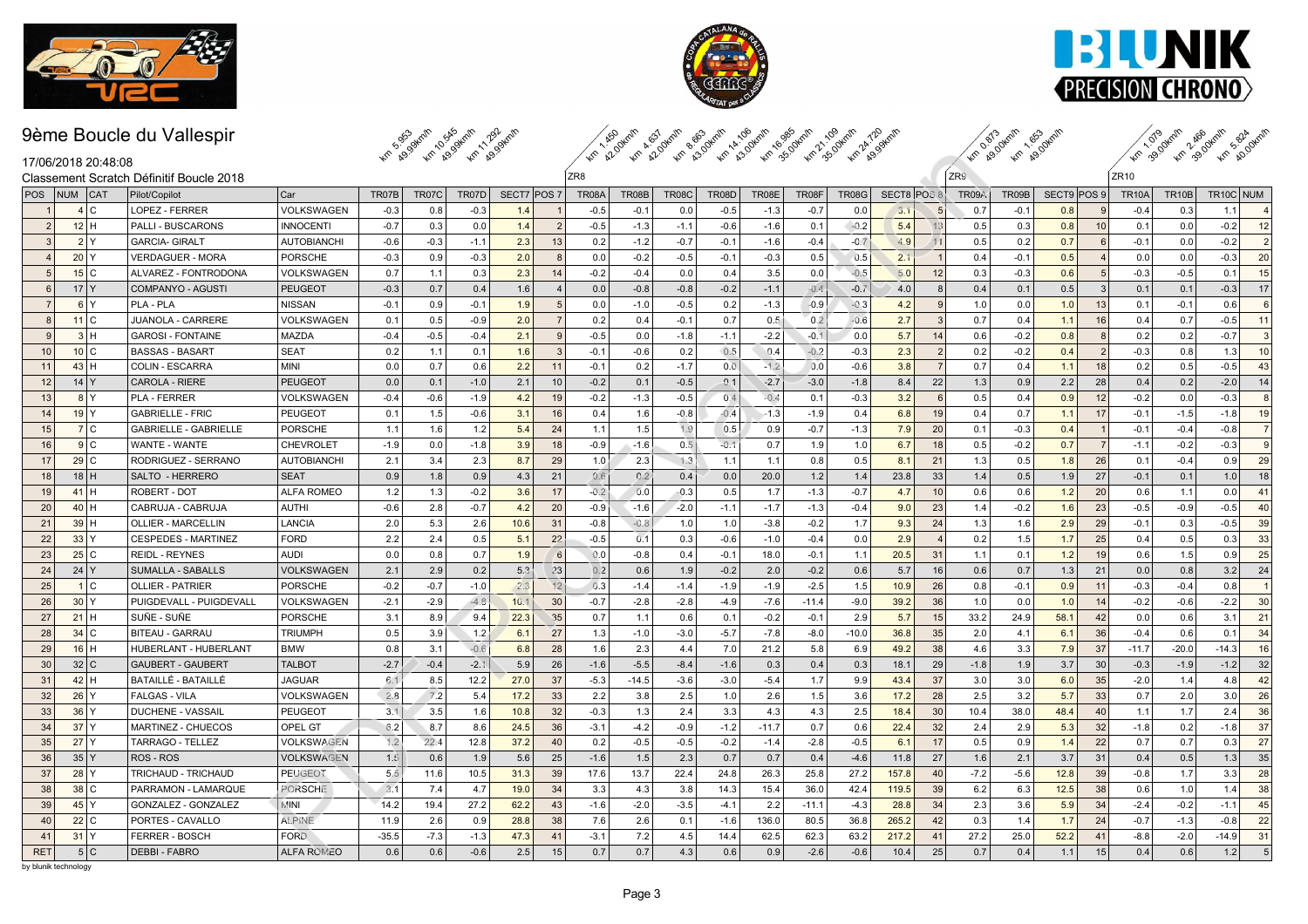





Km 1.919 units

km 2.90km, 20.0km,

# 9ème Boucle du Vallespir



| 17/06/2018 20:48:08                      |
|------------------------------------------|
| Classement Scratch Définitif Boucle 2018 |

| 17/06/2018 20:48:08               |                                          |                    |         | <b>40° R9'S 40° R9'S 40° R9'S</b> |        |             |                         | <b>ARP 22.0</b> |         | 40 82 40 83 40 83 40 93 40 93 40 93 40 83 |                  |         |         |              |             |                | $\langle \mathcal{A}_{\psi} \rangle$ | <b>ROUT</b><br><b>KG AOU</b> |             |                  | <b>An</b> BU | 46.99        | 46.80     |                         |
|-----------------------------------|------------------------------------------|--------------------|---------|-----------------------------------|--------|-------------|-------------------------|-----------------|---------|-------------------------------------------|------------------|---------|---------|--------------|-------------|----------------|--------------------------------------|------------------------------|-------------|------------------|--------------|--------------|-----------|-------------------------|
|                                   | Classement Scratch Définitif Boucle 2018 |                    |         |                                   |        |             |                         | ZR <sub>8</sub> |         |                                           |                  |         |         |              |             |                | ZR9                                  |                              |             |                  | ZR10         |              |           |                         |
| NUM<br>  <b>CAT</b><br><b>POS</b> | Pilot/Copilot                            | Car                | TR07B   | TR07C                             | TR07D  | SECT7 POS 7 |                         | <b>TR08A</b>    | TR08B   | <b>TR08C</b>                              | <b>TR08D</b>     | TR08E   | TR08F   | <b>TR08G</b> | SECT8 POS 8 |                | TR09A                                | TR09B                        | SECT9 POS 9 |                  | <b>TR10A</b> | <b>TR10B</b> | TR10C NUM |                         |
| 4C                                | <b>LOPEZ - FERRER</b>                    | <b>VOLKSWAGEN</b>  | $-0.3$  | 0.8                               | $-0.3$ | 1.4         |                         | $-0.5$          | $-0.1$  | 0.0                                       | $-0.5$           | $-1.3$  | $-0.7$  | 0.0          | 3.1         | $\overline{5}$ | 0.7                                  | $-0.1$                       | 0.8         |                  | $-0.4$       | 0.3          | 1.1       | $\overline{\mathbf{4}}$ |
| 2 <br>12H                         | <b>PALLI - BUSCARONS</b>                 | <b>INNOCENTI</b>   | $-0.7$  | 0.3                               | 0.0    | 1.4         | $\vert$ 2               | $-0.5$          | $-1.3$  | $-1.1$                                    | $-0.6$           | $-1.6$  | 0.1     | $-0.2$       | 5.4         | 13             | 0.5                                  | 0.3                          | 0.8         | 10 <sup>1</sup>  | 0.1          | 0.0          | $-0.2$    | 12                      |
| $\mathcal{R}$<br>2 Y              | <b>GARCIA- GIRALT</b>                    | <b>AUTOBIANCHI</b> | $-0.6$  | $-0.3$                            | $-1.1$ | 2.3         | 13                      | 0.2             | $-1.2$  | $-0.7$                                    | $-0.1$           | $-1.6$  | $-0.4$  | $-0.7$       | 4.9         | 11             | 0.5                                  | 0.2                          | 0.7         | $6 \overline{6}$ | $-0.1$       | 0.0          | $-0.2$    | $\overline{2}$          |
| 20 Y                              | <b>VERDAGUER - MORA</b>                  | <b>PORSCHE</b>     | $-0.3$  | 0.9                               | $-0.3$ | 2.0         | 8                       | 0.0             | $-0.2$  | $-0.5$                                    | $-0.1$           | $-0.3$  | 0.5     | 0.5          | 2.1         |                | 0.4                                  | $-0.1$                       | 0.5         |                  | 0.0          | 0.0          | $-0.3$    | 20                      |
| 15 C<br>5                         | ALVAREZ - FONTRODONA                     | <b>VOLKSWAGEN</b>  | 0.7     | 1.1                               | 0.3    | 2.3         | 14                      | $-0.2$          | $-0.4$  | 0.0                                       | 0.4              | 3.5     | 0.0     | $-0.5$       | 5.0         | 12             | 0.3                                  | $-0.3$                       | 0.6         | $5\overline{5}$  | $-0.3$       | $-0.5$       | 0.1       | 15                      |
| $17$ Y<br>6                       | COMPANYO - AGUSTI                        | <b>PEUGEOT</b>     | $-0.3$  | 0.7                               | 0.4    | 1.6         | $\overline{\mathbf{4}}$ | 0.0             | $-0.8$  | $-0.8$                                    | $-0.2$           | $-1.1$  | $-0.4$  | $-0.7$       | 4.0         | 8              | 0.4                                  | 0.1                          | 0.5         | 3                | 0.1          | 0.1          | $-0.3$    | 17                      |
| $\overline{7}$<br>6 Y             | PLA - PLA                                | <b>NISSAN</b>      | $-0.1$  | 0.9                               | $-0.1$ | 1.9         | 5                       | 0.0             | $-1.0$  | $-0.5$                                    | 0.2              | $-1.3$  | $-0.9$  | $-0.3$       | 4.2         | $\mathbf{q}$   | 1.0                                  | 0.0                          | 1.0         | 13               | 0.1          | $-0.1$       | 0.6       | 6                       |
| 11 <sup>2</sup><br>8              | <b>JUANOLA - CARRERE</b>                 | VOLKSWAGEN         | 0.1     | 0.5                               | $-0.9$ | 2.0         | $\overline{7}$          | 0.2             | 0.4     | $-0.1$                                    | 0.7              | 0.5     | 0.2     | $-0.6$       | 2.7         | $\overline{3}$ | 0.7                                  | 0.4                          | 1.1         | 16               | 0.4          | 0.7          | $-0.5$    | 11                      |
| $\mathbf{Q}$<br>3H                | <b>GAROSI - FONTAINE</b>                 | <b>MAZDA</b>       | $-0.4$  | $-0.5$                            | $-0.4$ | 2.1         | 9                       | $-0.5$          | 0.0     | $-1.8$                                    | $-1.1$           | $-2.2$  | $-0.1$  | 0.0          | 5.7         | 14             | 0.6                                  | $-0.2$                       | 0.8         | $\mathsf{R}$     | 0.2          | 0.2          | $-0.7$    | 3                       |
| 10 C<br>10                        | <b>BASSAS - BASART</b>                   | <b>SEAT</b>        | 0.2     | 1.1                               | 0.1    | 1.6         | $\overline{3}$          | $-0.1$          | $-0.6$  | 0.2                                       | 0.5              | 0.4     | $-0.2$  | $-0.3$       | 2.3         | $\overline{2}$ | 0.2                                  | $-0.2$                       | 0.4         | $\overline{2}$   | $-0.3$       | 0.8          | 1.3       | 10                      |
| 11<br>43H                         | COLIN - ESCARRA                          | <b>MINI</b>        | 0.0     | 0.7                               | 0.6    | 2.2         | 11                      | $-0.1$          | 0.2     | $-1.7$                                    | $0.\overline{0}$ | $-1.2$  | 0.0     | $-0.6$       | 3.8         | $\overline{7}$ | 0.7                                  | 0.4                          | 1.1         | 18               | 0.2          | 0.5          | $-0.5$    | 43                      |
| 12<br>14 Y                        | <b>CAROLA - RIERE</b>                    | <b>PEUGEOT</b>     | 0.0     | 0.1                               | $-1.0$ | 2.1         | 10                      | $-0.2$          | 0.1     | $-0.5$                                    | 0.1              | $-2.7$  | $-3.0$  | $-1.8$       | 8.4         | 22             | 1.3                                  | 0.9                          | 2.2         | 28               | 0.4          | 0.2          | $-2.0$    | 14                      |
| 13<br>$8$ $Y$                     | <b>PLA - FERRER</b>                      | VOLKSWAGEN         | $-0.4$  | $-0.6$                            | $-1.9$ | 4.2         | 19                      | $-0.2$          | $-1.3$  | $-0.5$                                    | 0.4              | $-0.4$  | 0.1     | $-0.3$       | 3.2         | 6              | 0.5                                  | 0.4                          | 0.9         | 12               | $-0.2$       | 0.0          | $-0.3$    | 8                       |
| $19$ Y<br>14                      | <b>GABRIELLE - FRIC</b>                  | PEUGEO1            | 0.1     | 1.5                               | $-0.6$ | 3.1         | 16                      | 0.4             | 1.6     | $-0.8$                                    | $-0.4$           | $-1.3$  | $-1.9$  | 0.4          | 6.8         | 19             | 0.4                                  | 0.7                          | 1.1         | 17               | $-0.1$       | $-1.5$       | $-1.8$    | 19                      |
| 7C<br>15                          | <b>GABRIELLE - GABRIELLE</b>             | <b>PORSCHE</b>     | 1.1     | 1.6                               | 1.2    | 5.4         | 24                      | 1.1             | 1.5     | 1.9                                       | 0.5              | 0.9     | $-0.7$  | $-1.3$       | 7.9         | 20             | 0.1                                  | $-0.3$                       | 0.4         | $\mathbf{1}$     | $-0.1$       | $-0.4$       | $-0.8$    | $\overline{7}$          |
| 16<br>9C                          | WANTE - WANTE                            | <b>CHEVROLET</b>   | $-1.9$  | 0.0                               | $-1.8$ | 3.9         | 18                      | $-0.9$          | $-1.6$  | 0.5                                       | $-0.1$           | 0.7     | 1.9     | 1.0          | 6.7         | 18             | 0.5                                  | $-0.2$                       | 0.7         | $\overline{7}$   | $-1.1$       | $-0.2$       | $-0.3$    | 9                       |
| 17<br>29 C                        | RODRIGUEZ - SERRANO                      | <b>AUTOBIANCHI</b> | 2.1     | 3.4                               | 2.3    | 8.7         | 29                      | 1.0             | 2.3     | 1.3                                       | 1.1              | 1.1     | 0.8     | 0.5          | 8.1         | 21             | 1.3                                  | 0.5                          | 1.8         | 26               | 0.1          | $-0.4$       | 0.9       | 29                      |
| 18<br>$18$ H                      | SALTO - HERRERO                          | <b>SEAT</b>        | 0.9     | 1.8                               | 0.9    | 4.3         | 21                      | 0.6             | 0.2     | 0.4                                       | 0.0              | 20.0    | 1.2     | 1.4          | 23.8        | 33             | 1.4                                  | 0.5                          | 1.9         | 27               | $-0.1$       | 0.1          | 1.0       | 18                      |
| 41H<br>19                         | ROBERT - DOT                             | <b>ALFA ROMEO</b>  | 1.2     | 1.3                               | $-0.2$ | 3.6         | 17                      | $-0.2$          | 0.0     | $-0.3$                                    | 0.5              | 1.7     | $-1.3$  | $-0.7$       | 4.7         | 10             | 0.6                                  | 0.6                          | 1.2         | 20               | 0.6          | 1.1          | 0.0       | 41                      |
| 20<br>40H                         | CABRUJA - CABRUJA                        | <b>AUTHI</b>       | $-0.6$  | 2.8                               | $-0.7$ | 4.2         | 20                      | $-0.9$          | $-1.6$  | $-2.0$                                    | $-1.1$           | $-1.7$  | $-1.3$  | $-0.4$       | 9.0         | 23             | 1.4                                  | $-0.2$                       | 1.6         | 23               | $-0.5$       | $-0.9$       | $-0.5$    | 40                      |
| 21<br>39H                         | <b>OLLIER - MARCELLIN</b>                | LANCIA             | 2.0     | 5.3                               | 2.6    | 10.6        | 31                      | $-0.8$          | $-0.8$  | 1.0                                       | 1.0              | $-3.8$  | $-0.2$  | 1.7          | 9.3         | 24             | 1.3                                  | 1.6                          | 2.9         | 29               | $-0.1$       | 0.3          | $-0.5$    | 39                      |
| 22<br>33 Y                        | <b>CESPEDES - MARTINEZ</b>               | <b>FORD</b>        | 2.2     | 2.4                               | 0.5    | 5.1         | 22                      | $-0.5$          | 0.1     | 0.3                                       | $-0.6$           | $-1.0$  | $-0.4$  | 0.0          | 2.9         |                | 0.2                                  | 1.5                          | 1.7         | 25               | 0.4          | 0.5          | 0.3       | 33                      |
| 23<br>$25$ C                      | <b>REIDL - REYNES</b>                    | <b>AUDI</b>        | 0.0     | 0.8                               | 0.7    | 1.9         | 6                       | 0.0             | $-0.8$  | 0.4                                       | $-0.1$           | 18.0    | $-0.1$  | 1.1          | 20.5        | 31             | 1.1                                  | 0.1                          | 1.2         | 19               | 0.6          | 1.5          | 0.9       | 25                      |
| 24<br>24 Y                        | <b>SUMALLA - SABALLS</b>                 | VOLKSWAGEN         | 2.1     | 2.9                               | 0.2    | 5.3         | 23                      | 0.2             | 0.6     | 1.9                                       | $-0.2$           | 2.0     | $-0.2$  | 0.6          | 5.7         | 16             | 0.6                                  | 0.7                          | 1.3         | 21               | 0.0          | 0.8          | 3.2       | 24                      |
| 1 C<br>25                         | <b>OLLIER - PATRIER</b>                  | <b>PORSCHE</b>     | $-0.2$  | $-0.7$                            | $-1.0$ | 2.3         | 12                      | 0.3             | $-1.4$  | $-1.4$                                    | $-1.9$           | $-1.9$  | $-2.5$  | 1.5          | 10.9        | 26             | 0.8                                  | $-0.1$                       | 0.9         | 11               | $-0.3$       | $-0.4$       | 0.8       |                         |
| 26<br>30 Y                        | PUIGDEVALL - PUIGDEVALL                  | VOLKSWAGEN         | $-2.1$  | $-2.9$                            | $-4.8$ | 10.1        | 30                      | $-0.7$          | $-2.8$  | $-2.8$                                    | $-4.9$           | $-7.6$  | $-11.4$ | $-9.0$       | 39.2        | 36             | 1.0                                  | 0.0                          | 1.0         | 14               | $-0.2$       | $-0.6$       | $-2.2$    | 30                      |
| $21$ H<br>27                      | SUÑE - SUÑE                              | <b>PORSCHE</b>     | 3.1     | 8.9                               | 9.4    | 22.3        | 35                      | 0.7             | 1.1     | 0.6                                       | 0.1              | $-0.2$  | $-0.1$  | 2.9          | 5.7         | 15             | 33.2                                 | 24.9                         | 58.1        | 42               | 0.0          | 0.6          | 3.1       | 21                      |
| $34$ C<br>28                      | <b>BITEAU - GARRAU</b>                   | <b>TRIUMPH</b>     | 0.5     | 3.9                               | 1.2    | 6.1         | 27                      | 1.3             | $-1.0$  | $-3.0$                                    | $-5.7$           | $-7.8$  | $-8.0$  | $-10.0$      | 36.8        | 35             | 2.0                                  | 4.1                          | 6.1         | 36               | $-0.4$       | 0.6          | 0.1       | 34                      |
| 29<br>$16$ H                      | <b>HUBERLANT - HUBERLANT</b>             | <b>BMW</b>         | 0.8     | 3.1                               | $-0.6$ | 6.8         | 28                      | 1.6             | 2.3     | 4.4                                       | 7.0              | 21.2    | 5.8     | 6.9          | 49.2        | 38             | 4.6                                  | 3.3                          | 7.9         | 37               | $-11.7$      | $-20.0$      | $-14.3$   | 16                      |
| 32 C<br>30                        | <b>GAUBERT - GAUBERT</b>                 | <b>TALBOT</b>      | $-2.7$  | $-0.4$                            | $-2.1$ | 5.9         | 26                      | $-1.6$          | $-5.5$  | $-8.4$                                    | $-1.6$           | 0.3     | 0.4     | 0.3          | 18.1        | 29             | $-1.8$                               | 1.9                          | 3.7         | 30               | $-0.3$       | $-1.9$       | $-1.2$    | 32                      |
| 31<br>42H                         | BATAILLÉ - BATAILLÉ                      | <b>JAGUAR</b>      | 6.1     | 8.5                               | 12.2   | 27.0        | 37                      | $-5.3$          | $-14.5$ | $-3.6$                                    | $-3.0$           | $-5.4$  | 1.7     | 9.9          | 43.4        | 37             | 3.0                                  | 3.0                          | 6.0         | 35               | $-2.0$       | 1.4          | 4.8       | 42                      |
| 32<br>$26$ Y                      | <b>FALGAS - VILA</b>                     | <b>VOLKSWAGEN</b>  | 2.8     | 7.2                               | 5.4    | 17.2        | 33                      | 2.2             | 3.8     | 2.5                                       | 1.0              | 2.6     | 1.5     | 3.6          | 17.2        | 28             | 2.5                                  | 3.2                          | 5.7         | 33               | 0.7          | 2.0          | 3.0       | 26                      |
| 33<br>$36$ Y                      | DUCHENE - VASSAIL                        | <b>PEUGEOT</b>     | 3.1     | 3.5                               | 1.6    | 10.8        | 32                      | $-0.3$          | 1.3     | 2.4                                       | 3.3              | 4.3     | 4.3     | 2.5          | 18.4        | 30             | 10.4                                 | 38.0                         | 48.4        | 40               | 1.1          | 1.7          | 2.4       | 36                      |
| 34<br>$37$ Y                      | MARTINEZ - CHUECOS                       | <b>OPEL GT</b>     | 6.2     | 8.7                               | 8.6    | 24.5        | 36                      | $-3.1$          | $-4.2$  | $-0.9$                                    | $-1.2$           | $-11.7$ | 0.7     | 0.6          | 22.4        | 32             | 2.4                                  | 2.9                          | 5.3         | 32               | $-1.8$       | 0.2          | $-1.8$    | 37                      |
| $27$ Y<br>35                      | TARRAGO - TELLEZ                         | VOLKSWAGEN         | 1.2     | 22.4                              | 12.8   | 37.2        | 40                      | 0.2             | $-0.5$  | $-0.5$                                    | $-0.2$           | $-1.4$  | $-2.8$  | $-0.5$       | 6.1         | 17             | 0.5                                  | 0.9                          | 1.4         | 22               | 0.7          | 0.7          | 0.3       | 27                      |
| 36<br>35 Y                        | ROS - ROS                                | <b>VOLKSWAGEN</b>  | 1.5     | 0.6                               | 1.9    | 5.6         | 25                      | $-1.6$          | 1.5     | 2.3                                       | 0.7              | 0.7     | 0.4     | $-4.6$       | 11.8        | 27             | 1.6                                  | 2.1                          | 3.7         | 31               | 0.4          | 0.5          | 1.3       | 35                      |
| 37<br>$28$ Y                      | TRICHAUD - TRICHAUD                      | <b>PEUGEOT</b>     | 5.5     | 11.6                              | 10.5   | 31.3        | 39                      | 17.6            | 13.7    | 22.4                                      | 24.8             | 26.3    | 25.8    | 27.2         | 157.8       | 40             | $-7.2$                               | $-5.6$                       | 12.8        | 39               | $-0.8$       | 1.7          | 3.3       | 28                      |
| 38<br>$38$ C                      | PARRAMON - LAMARQUE                      | <b>PORSCHE</b>     | 3.1     | 7.4                               | 4.7    | 19.0        | 34                      | 3.3             | 4.3     | 3.8                                       | 14.3             | 15.4    | 36.0    | 42.4         | 119.5       | 39             | 6.2                                  | 6.3                          | 12.5        | 38               | 0.6          | 1.0          | 1.4       | 38                      |
| $45$ Y<br>39                      | GONZALEZ - GONZALEZ                      | <b>MINI</b>        | 14.2    | 19.4                              | 27.2   | 62.2        | 43                      | $-1.6$          | $-2.0$  | $-3.5$                                    | $-4.1$           | 2.2     | $-11.1$ | $-4.3$       | 28.8        | 34             | 2.3                                  | 3.6                          | 5.9         | 34               | $-2.4$       | $-0.2$       | $-1.1$    | 45                      |
| $22$ C<br>40                      | PORTES - CAVALLO                         | <b>ALPINE</b>      | 11.9    | 2.6                               | 0.9    | 28.8        | 38                      | 7.6             | 2.6     | 0.1                                       | $-1.6$           | 136.0   | 80.5    | 36.8         | 265.2       | 42             | 0.3                                  | 1.4                          | 1.7         | 24               | $-0.7$       | $-1.3$       | $-0.8$    | 22                      |
| $31$ Y<br>41                      | FERRER - BOSCH                           | <b>FORD</b>        | $-35.5$ | $-7.3$                            | $-1.3$ | 47.3        | 41                      | $-3.1$          | 7.2     | 4.5                                       | 14.4             | 62.5    | 62.3    | 63.2         | 217.2       | 41             | 27.2                                 | 25.0                         | 52.2        | 41               | $-8.8$       | $-2.0$       | $-14.9$   | 31                      |
| 5 C<br><b>RET</b>                 | <b>DEBBI-FABRO</b>                       | <b>ALFA ROMEO</b>  | 0.6     | 0.6                               | $-0.6$ | 2.5         | 15                      | 0.7             | 0.7     | 4.3                                       | 0.6              | 0.9     | $-2.6$  | $-0.6$       | 10.4        | 25             | 0.7                                  | 0.4                          | 1.1         | 15               | 0.4          | 0.6          | 1.2       | 5                       |
| by blunik technology              |                                          |                    |         |                                   |        |             |                         |                 |         |                                           |                  |         |         |              |             |                |                                      |                              |             |                  |              |              |           |                         |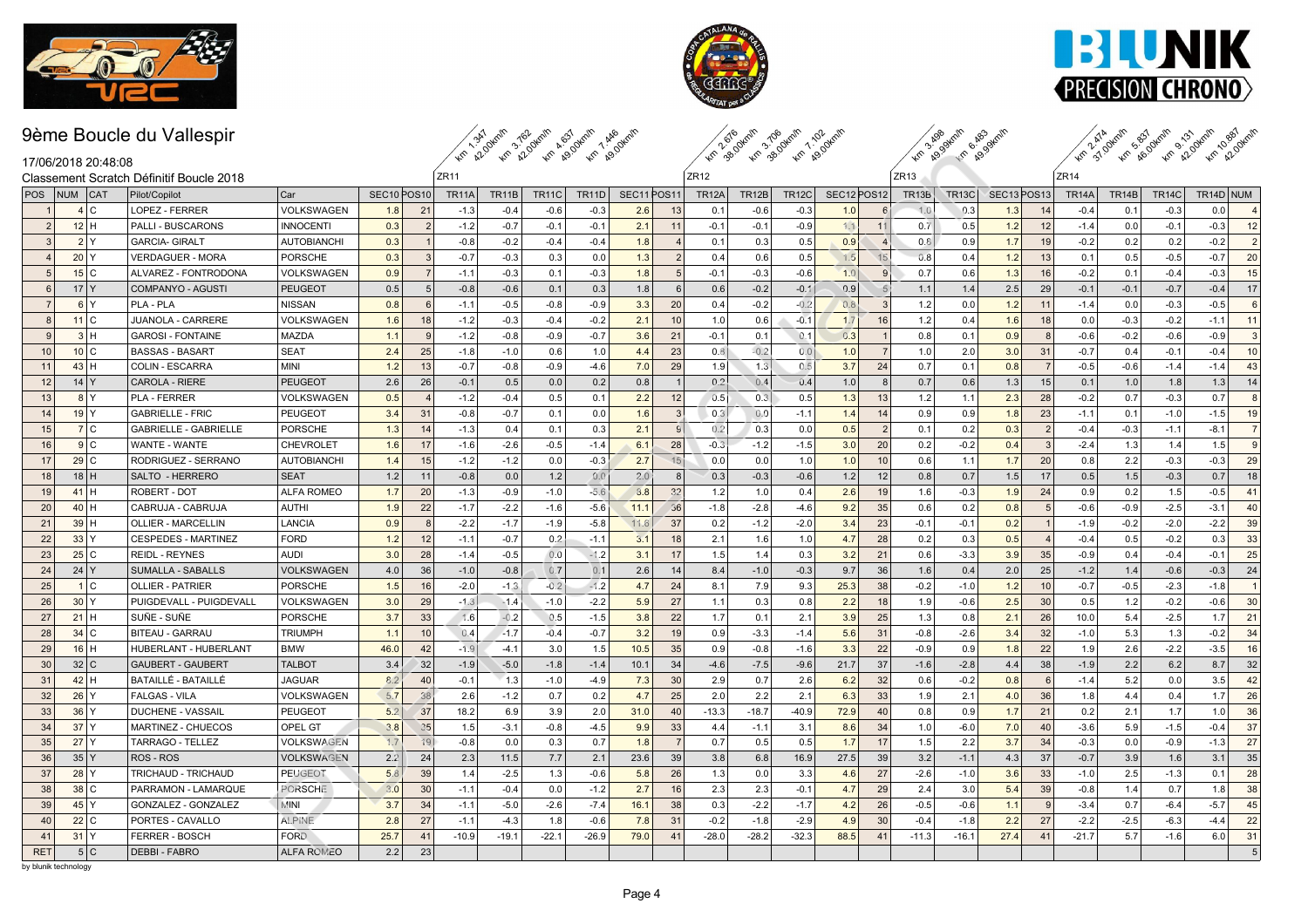



km zaodkalin z do dkalin z do dkalin

Km 29.94mln 6.49.94mln



 $Z$ R<sub>11</sub> km 2.34 km 2.95 km 2.96 km

km 31.9 km so km so km so dem na so dem

### 17/06/2018 20:48:08 Classement Scratch Définitif Boucle 2018

| 17/06/2018 20:48:08                      |                                          |                    |                                     |                |              |              | <b>WP A2,0 KP A2,0 KP A9,0</b> | <b>KF</b> R <sup>OLU</sup> |            |                | <b>AM</b> 38.00  | <b>An</b> BU     | <b>RO.</b><br>$\mathcal{L}$ |                                     | $\mathscr{U}$         | <b>RO</b> U<br>પ |                                     |                |              |                    | <b>An 51.0 An 40.0 An 47.0</b> | <b>Kr</b> 220            |
|------------------------------------------|------------------------------------------|--------------------|-------------------------------------|----------------|--------------|--------------|--------------------------------|----------------------------|------------|----------------|------------------|------------------|-----------------------------|-------------------------------------|-----------------------|------------------|-------------------------------------|----------------|--------------|--------------------|--------------------------------|--------------------------|
|                                          | Classement Scratch Définitif Boucle 2018 |                    |                                     |                | ZR11         |              |                                |                            |            |                | ZR <sub>12</sub> |                  |                             |                                     | ZR <sub>13</sub>      |                  |                                     |                | ZR14         |                    |                                |                          |
| <b>NUM</b><br>  <b>CAT</b><br><b>POS</b> | Pilot/Copilot                            | Car                | SEC <sub>10</sub> POS <sub>10</sub> |                | <b>TR11A</b> | <b>TR11B</b> | <b>TR11C</b>                   | <b>TR11D</b>               | SEC11POS11 |                | <b>TR12A</b>     | <b>TR12B</b>     | <b>TR12C</b>                | SEC <sub>12</sub> POS <sub>12</sub> | TR <sub>13</sub> B    | <b>TR13C</b>     | SEC <sub>13</sub> POS <sub>13</sub> |                | <b>TR14A</b> | TR <sub>14</sub> B | <b>TR14C</b>                   | TR14D NUM                |
| 4C                                       | LOPEZ - FERRER                           | VOLKSWAGEN         | 1.8                                 | 21             | $-1.3$       | $-0.4$       | $-0.6$                         | $-0.3$                     | 2.6        | 13             | 0.1              | $-0.6$           | $-0.3$                      | 1.0                                 | 1.0                   | 0.3              | 1.3                                 | 14             | $-0.4$       | 0.1                | $-0.3$                         | 0.0<br>$\overline{a}$    |
| $12$ H<br>2                              | <b>PALLI - BUSCARONS</b>                 | <b>INNOCENTI</b>   | 0.3                                 | $\overline{2}$ | $-1.2$       | $-0.7$       | $-0.1$                         | $-0.1$                     | 2.1        | 11             | $-0.1$           | $-0.1$           | $-0.9$                      | 1.1                                 | 11<br>0.7             | 0.5              | 1.2                                 | 12             | $-1.4$       | 0.0                | $-0.1$                         | $-0.3$<br>12             |
| 2 Y<br>$\mathcal{R}$                     | <b>GARCIA- GIRALT</b>                    | AUTOBIANCHI        | 0.3                                 |                | $-0.8$       | $-0.2$       | $-0.4$                         | $-0.4$                     | 1.8        | $\overline{4}$ | 0.1              | 0.3              | 0.5                         | 0.9                                 | 0.8                   | 0.9              | 1.7                                 | 19             | $-0.2$       | 0.2                | 0.2                            | 2 <br>$-0.2$             |
| 20 Y                                     | <b>VERDAGUER - MORA</b>                  | <b>PORSCHE</b>     | 0.3                                 | -3             | $-0.7$       | $-0.3$       | 0.3                            | 0.0                        | 1.3        | $\overline{2}$ | 0.4              | 0.6              | 0.5                         | 1.5                                 | 15<br>0.8             | 0.4              | 1.2                                 | 13             | 0.1          | 0.5                | $-0.5$                         | 20<br>$-0.7$             |
| 15 C<br>.5                               | ALVAREZ - FONTRODONA                     | VOLKSWAGEN         | 0.9                                 |                | $-1.1$       | $-0.3$       | 0.1                            | $-0.3$                     | 1.8        | $\overline{5}$ | $-0.1$           | $-0.3$           | -0.6                        | 1.0                                 | 0.7<br>$\mathbf{q}$   | 0.6              | 1.3                                 | 16             | $-0.2$       | 0.1                | $-0.4$                         | $-0.3$<br>15             |
| $17$ Y<br>6                              | COMPANYO - AGUSTI                        | <b>PEUGEOT</b>     | 0.5                                 | 5              | $-0.8$       | $-0.6$       | 0.1                            | 0.3                        | 1.8        | 6              | 0.6              | $-0.2$           | $-0.1$                      | 0.9                                 | 5<br>1.1              | 1.4              | 2.5                                 | 29             | $-0.1$       | $-0.1$             | $-0.7$                         | 17<br>$-0.4$             |
| 6 Y<br>7                                 | PLA - PLA                                | <b>NISSAN</b>      | 0.8                                 | - 6            | $-1.1$       | $-0.5$       | $-0.8$                         | $-0.9$                     | 3.3        | 20             | 0.4              | $-0.2$           | $-0.2$                      | 0.8                                 | 3<br>1.2              | 0.0              | 1.2                                 | 11             | $-1.4$       | 0.0                | $-0.3$                         | $-0.5$<br>6              |
| 11 <sup>2</sup><br>8                     | JUANOLA - CARRERE                        | VOLKSWAGEN         | 1.6                                 | 18             | $-1.2$       | $-0.3$       | $-0.4$                         | $-0.2$                     | 2.1        | 10             | 1.0              | 0.6              | $-0.1$                      | 1.7                                 | 16<br>1.2             | 0.4              | 1.6                                 | 18             | 0.0          | $-0.3$             | $-0.2$                         | 11<br>$-1.1$             |
| 3H<br>$\mathbf{Q}$                       | <b>GAROSI - FONTAINE</b>                 | <b>MAZDA</b>       | 1.1                                 | 9              | $-1.2$       | $-0.8$       | $-0.9$                         | $-0.7$                     | 3.6        | 21             | $-0.1$           | 0.1              | 0.1                         | 0.3                                 | 0.8                   | 0.1              | 0.9                                 |                | $-0.6$       | $-0.2$             | $-0.6$                         | 3<br>$-0.9$              |
| 10 C<br>10                               | <b>BASSAS - BASART</b>                   | <b>SEAT</b>        | 2.4                                 | 25             | $-1.8$       | $-1.0$       | 0.6                            | 1.0                        | 4.4        | 23             | 0.8              | $-0.2$           | 0.0                         | 1.0                                 | 1.0<br>$\overline{7}$ | 2.0              | 3.0                                 | 31             | $-0.7$       | 0.4                | $-0.1$                         | $-0.4$<br>10             |
| 43H<br>11                                | <b>COLIN - ESCARRA</b>                   | <b>MINI</b>        | 1.2                                 | 13             | $-0.7$       | $-0.8$       | $-0.9$                         | $-4.6$                     | 7.0        | 29             | 1.9              | $1.\overline{3}$ | 0.5                         | 3.7                                 | 24<br>0.7             | 0.1              | 0.8                                 | $\overline{7}$ | $-0.5$       | $-0.6$             | $-1.4$                         | 43<br>$-1.4$             |
| $14$ Y<br>12                             | <b>CAROLA - RIERE</b>                    | <b>PEUGEOT</b>     | 2.6                                 | 26             | $-0.1$       | 0.5          | 0.0                            | 0.2                        | 0.8        | $\overline{1}$ | 0.2              | 0.4              | 0.4                         | 1.0                                 | 8<br>0.7              | 0.6              | 1.3                                 | 15             | 0.1          | 1.0                | 1.8                            | 1.3<br>14                |
| 8 Y<br>13                                | <b>PLA - FERRER</b>                      | VOLKSWAGEN         | 0.5                                 |                | $-1.2$       | $-0.4$       | 0.5                            | 0.1                        | 2.2        | 12             | 0.5              | 0.3              | 0.5                         | 1.3                                 | 13<br>1.2             | 1.1              | 2.3                                 | 28             | $-0.2$       | 0.7                | $-0.3$                         | 0.7<br>8                 |
| $19$ Y<br>14                             | <b>GABRIELLE - FRIC</b>                  | <b>PEUGEOT</b>     | 3.4                                 | 31             | $-0.8$       | $-0.7$       | 0.1                            | 0.0                        | 1.6        | 3              | 0.3              | 0.0              | $-1.1$                      | 1.4                                 | 14<br>0.9             | 0.9              | 1.8                                 | 23             | $-1.1$       | 0.1                | $-1.0$                         | 19<br>$-1.5$             |
| 7C<br>15                                 | <b>GABRIELLE - GABRIELLE</b>             | <b>PORSCHE</b>     | 1.3                                 | 14             | $-1.3$       | 0.4          | 0.1                            | 0.3                        | 2.1        | -9             | 0.2              | 0.3              | 0.0                         | 0.5                                 | $\mathcal{P}$<br>0.1  | 0.2              | 0.3                                 | 2              | $-0.4$       | $-0.3$             | $-1.1$                         | 7 <sup>1</sup><br>$-8.1$ |
| 9C<br>16                                 | WANTE - WANTE                            | <b>CHEVROLET</b>   | 1.6                                 | 17             | $-1.6$       | $-2.6$       | $-0.5$                         | $-1.4$                     | 6.1        | 28             | $-0.3$           | $-1.2$           | $-1.5$                      | 3.0                                 | 20<br>0.2             | $-0.2$           | 0.4                                 | $\mathbf{R}$   | $-2.4$       | 1.3                | 1.4                            | 1.5<br>9 <sup>1</sup>    |
| 29 C<br>17                               | RODRIGUEZ - SERRANO                      | <b>AUTOBIANCHI</b> | 1.4                                 | 15             | $-1.2$       | $-1.2$       | 0.0                            | $-0.3$                     | 2.7        | 15             | 0.0              | 0.0              | 1.0                         | 1.0                                 | 10<br>0.6             | 1.1              | 1.7                                 | 20             | 0.8          | 2.2                | $-0.3$                         | 29<br>$-0.3$             |
| $18$ H<br>18                             | SALTO - HERRERO                          | <b>SEAT</b>        | 1.2                                 | 11             | $-0.8$       | 0.0          | 1.2                            | 0.0                        | 2.0        | 8              | 0.3              | $-0.3$           | $-0.6$                      | 1.2                                 | 12<br>0.8             | 0.7              | 1.5                                 | 17             | 0.5          | 1.5                | $-0.3$                         | 0.7<br>18                |
| 41H<br>19                                | ROBERT - DOT                             | <b>ALFA ROMEO</b>  | 1.7                                 | 20             | $-1.3$       | $-0.9$       | $-1.0$                         | $-5.6$                     | 8.8        | 32             | 1.2              | 1.0              | 0.4                         | 2.6                                 | 19<br>1.6             | $-0.3$           | 1.9                                 | 24             | 0.9          | 0.2                | 1.5                            | $-0.5$<br>41             |
| $40$ H<br>20                             | CABRUJA - CABRUJA                        | <b>AUTHI</b>       | 1.9                                 | 22             | $-1.7$       | $-2.2$       | $-1.6$                         | $-5.6$                     | 11.1       | 36             | $-1.8$           | $-2.8$           | $-4.6$                      | 9.2                                 | 35<br>0.6             | 0.2              | 0.8                                 | 5 <sup>1</sup> | $-0.6$       | $-0.9$             | $-2.5$                         | 40<br>$-3.1$             |
| 39H<br>21                                | OLLIER - MARCELLIN                       | <b>LANCIA</b>      | 0.9                                 | -8             | $-2.2$       | $-1.7$       | $-1.9$                         | $-5.8$                     | 11.6       | 37             | 0.2              | $-1.2$           | $-2.0$                      | 3.4                                 | 23<br>$-0.1$          | $-0.1$           | 0.2                                 |                | $-1.9$       | $-0.2$             | $-2.0$                         | $-2.2$<br>39             |
| 33 Y<br>22                               | <b>CESPEDES - MARTINEZ</b>               | <b>FORD</b>        | 1.2                                 | 12             | $-1.1$       | $-0.7$       | 0.2                            | $-1.1$                     | 3.1        | 18             | 2.1              | 1.6              | 1.0                         | 4.7                                 | 28<br>0.2             | 0.3              | 0.5                                 |                | $-0.4$       | 0.5                | $-0.2$                         | 33<br>0.3                |
| $25$ C<br>23                             | <b>REIDL - REYNES</b>                    | <b>AUDI</b>        | 3.0                                 | 28             | $-1.4$       | $-0.5$       | 0.0                            | $-1.2$                     | 3.1        | 17             | 1.5              | 1.4              | 0.3                         | 3.2                                 | 21<br>0.6             | $-3.3$           | 3.9                                 | 35             | $-0.9$       | 0.4                | $-0.4$                         | 25<br>$-0.1$             |
| 24 Y<br>24                               | SUMALLA - SABALLS                        | VOLKSWAGEN         | 4.0                                 | 36             | $-1.0$       | $-0.8$       | 0.7                            | 0.1                        | 2.6        | 14             | 8.4              | $-1.0$           | $-0.3$                      | 9.7                                 | 36<br>1.6             | 0.4              | 2.0                                 | 25             | $-1.2$       | 1.4                | $-0.6$                         | $-0.3$<br>24             |
| 1 C<br>25                                | <b>OLLIER - PATRIER</b>                  | <b>PORSCHE</b>     | 1.5                                 | 16             | $-2.0$       | $-1.3$       | $-0.2$                         | $-1.2$                     | 4.7        | 24             | 8.1              | 7.9              | 9.3                         | 25.3                                | 38<br>$-0.2$          | $-1.0$           | 1.2                                 | 10             | $-0.7$       | $-0.5$             | $-2.3$                         | $-1.8$                   |
| 30 <sup>2</sup><br>26                    | PUIGDEVALL - PUIGDEVALL                  | VOLKSWAGEN         | 3.0                                 | 29             | $-1.3$       | $-1.4$       | $-1.0$                         | $-2.2$                     | 5.9        | 27             | 1.1              | 0.3              | 0.8                         | 2.2                                 | 18<br>1.9             | $-0.6$           | 2.5                                 | 30             | 0.5          | 1.2                | $-0.2$                         | 30<br>$-0.6$             |
| $21$ H<br>27                             | SUÑE - SUÑE                              | <b>PORSCHE</b>     | 3.7                                 | 33             | 1.6          | $-0.2$       | 0.5                            | $-1.5$                     | 3.8        | 22             | 1.7              | 0.1              | 2.1                         | 3.9                                 | 25<br>1.3             | 0.8              | 2.1                                 | 26             | 10.0         | 5.4                | $-2.5$                         | 21<br>1.7                |
| 34 C<br>28                               | <b>BITEAU - GARRAU</b>                   | <b>TRIUMPH</b>     | 1.1                                 | 10             | 0.4          | $-1.7$       | $-0.4$                         | $-0.7$                     | 3.2        | 19             | 0.9              | $-3.3$           | $-1.4$                      | 5.6                                 | 31<br>$-0.8$          | $-2.6$           | 3.4                                 | 32             | $-1.0$       | 5.3                | 1.3                            | $-0.2$<br>34             |
| $16$ H<br>29                             | <b>HUBERLANT - HUBERLANT</b>             | <b>BMW</b>         | 46.0                                | 42             | $-1.9$       | $-4.1$       | 3.0                            | 1.5                        | 10.5       | 35             | 0.9              | $-0.8$           | $-1.6$                      | 3.3                                 | 22<br>$-0.9$          | 0.9              | 1.8                                 | 22             | 1.9          | 2.6                | $-2.2$                         | $-3.5$<br>16             |
| 32 C<br>30                               | <b>GAUBERT - GAUBERT</b>                 | <b>TALBOT</b>      | 3.4                                 | 32             | $-1.9$       | $-5.0$       | $-1.8$                         | $-1.4$                     | 10.1       | 34             | $-4.6$           | $-7.5$           | $-9.6$                      | 21.7                                | 37<br>$-1.6$          | $-2.8$           | 4.4                                 | 38             | $-1.9$       | 2.2                | 6.2                            | 32<br>8.7                |
| 42H<br>31                                | BATAILLÉ - BATAILLÉ                      | JAGUAR             | 8.2                                 | 40             | $-0.1$       | 1.3          | $-1.0$                         | $-4.9$                     | 7.3        | 30             | 2.9              | 0.7              | 2.6                         | 6.2                                 | 32<br>0.6             | $-0.2$           | 0.8                                 | 6              | $-1.4$       | 5.2                | 0.0                            | 42<br>3.5                |
| 32<br>26<br>$\mathsf{v}$                 | <b>FALGAS - VILA</b>                     | VOLKSWAGEN         | 5.7                                 | 38             | 2.6          | $-1.2$       | 0.7                            | 0.2                        | 4.7        | 25             | 2.0              | 2.2              | 2.1                         | 6.3                                 | 33<br>1.9             | 2.1              | 4.0                                 | 36             | 1.8          | 4.4                | 0.4                            | 1.7<br>26                |
| 33<br>36 Y                               | DUCHENE - VASSAIL                        | <b>PEUGEOT</b>     | 5.2                                 | 37             | 18.2         | 6.9          | 3.9                            | 2.0                        | 31.0       | 40             | $-13.3$          | $-18.7$          | $-40.9$                     | 72.9                                | 40<br>0.8             | 0.9              | 1.7                                 | 21             | 0.2          | 2.1                | 1.7                            | 36<br>1.0                |
| $37$ Y<br>34                             | MARTINEZ - CHUECOS                       | OPEL GT            | 3.8                                 | 35             | 1.5          | $-3.1$       | $-0.8$                         | $-4.5$                     | 9.9        | 33             | 4.4              | $-1.1$           | 3.1                         | 8.6                                 | 34<br>1.0             | $-6.0$           | 7.0                                 | 40             | $-3.6$       | 5.9                | $-1.5$                         | 37<br>$-0.4$             |
| $27$ Y<br>35                             | <b>TARRAGO - TELLEZ</b>                  | VOLKSWAGEN         | 1.7                                 | 19             | $-0.8$       | 0.0          | 0.3                            | 0.7                        | 1.8        | $\overline{7}$ | 0.7              | 0.5              | 0.5                         | 1.7                                 | 17<br>1.5             | 2.2              | 3.7                                 | 34             | $-0.3$       | 0.0                | $-0.9$                         | 27<br>$-1.3$             |
| 35 Y<br>36                               | ROS - ROS                                | <b>VOLKSWAGEN</b>  | 2.2                                 | 24             | 2.3          | 11.5         | 7.7                            | 2.1                        | 23.6       | 39             | 3.8              | 6.8              | 16.9                        | 27.5                                | 39<br>3.2             | $-1.1$           | 4.3                                 | 37             | $-0.7$       | 3.9                | 1.6                            | 35<br>3.1                |
| 37<br>$28$ Y                             | TRICHAUD - TRICHAUD                      | <b>PEUGEOT</b>     | 5.8                                 | 39             | 1.4          | $-2.5$       | 1.3                            | $-0.6$                     | 5.8        | 26             | 1.3              | 0.0              | 3.3                         | 4.6                                 | 27<br>$-2.6$          | $-1.0$           | 3.6                                 | 33             | $-1.0$       | 2.5                | $-1.3$                         | 0.1<br>28                |
| 38<br>$38$ C                             | PARRAMON - LAMARQUE                      | PORSCHE            | 3.0                                 | 30             | $-1.1$       | $-0.4$       | 0.0                            | $-1.2$                     | 2.7        | 16             | 2.3              | 2.3              | $-0.1$                      | 4.7                                 | 29<br>2.4             | 3.0              | 5.4                                 | 39             | $-0.8$       | 1.4                | 0.7                            | 38<br>1.8                |
| $45$ Y<br>39                             | GONZALEZ - GONZALEZ                      | MINI               | 3.7                                 | 34             | $-1.1$       | $-5.0$       | $-2.6$                         | $-7.4$                     | 16.1       | 38             | 0.3              | $-2.2$           | $-1.7$                      | 4.2                                 | 26<br>$-0.5$          | $-0.6$           | 1.1                                 | 9              | $-3.4$       | 0.7                | $-6.4$                         | $-5.7$<br>45             |
| 22 C<br>40                               | PORTES - CAVALLO                         | <b>ALPINE</b>      | 2.8                                 | 27             | $-1.1$       | $-4.3$       | 1.8                            | $-0.6$                     | 7.8        | 31             | $-0.2$           | $-1.8$           | $-2.9$                      | 4.9                                 | 30<br>$-0.4$          | $-1.8$           | 2.2                                 | 27             | $-2.2$       | $-2.5$             | $-6.3$                         | 22<br>$-4.4$             |
| $31$ Y<br>41                             | <b>FERRER - BOSCH</b>                    | <b>FORD</b>        | 25.7                                | 41             | $-10.9$      | $-19.1$      | $-22.1$                        | $-26.9$                    | 79.0       | 41             | $-28.0$          | $-28.2$          | $-32.3$                     | 88.5                                | 41<br>$-11.3$         | $-16.1$          | 27.4                                | 41             | $-21.7$      | 5.7                | $-1.6$                         | 31<br>6.0                |
| 5C<br><b>RET</b>                         | <b>DEBBI - FABRO</b>                     | <b>ALFA ROMEO</b>  | 2.2                                 | 23             |              |              |                                |                            |            |                |                  |                  |                             |                                     |                       |                  |                                     |                |              |                    |                                | 5                        |
| by blunik technology                     |                                          |                    |                                     |                |              |              |                                |                            |            |                |                  |                  |                             |                                     |                       |                  |                                     |                |              |                    |                                |                          |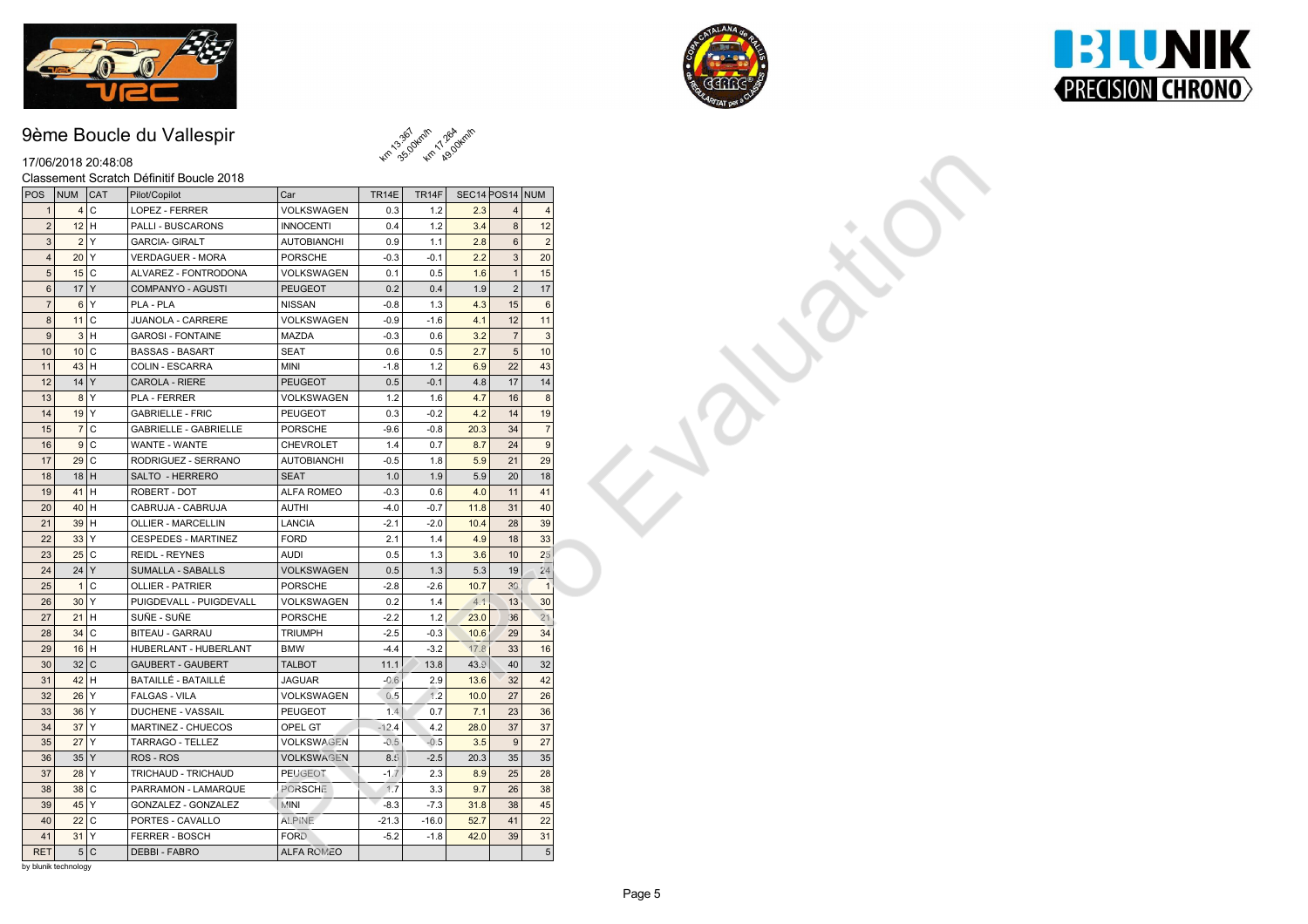





### 17/06/2018 20:48:08

#### Classement Scratch Définitif Boucle 2018

| 17/06/2018 20:48:08  |        |                                          |                    |              | <b>4m</b> 35.0 Km 29.0 |                 |                |                |  |
|----------------------|--------|------------------------------------------|--------------------|--------------|------------------------|-----------------|----------------|----------------|--|
|                      |        | Classement Scratch Définitif Boucle 2018 |                    |              |                        |                 |                |                |  |
| POS NUM CAT          |        | Pilot/Copilot                            | Car                | <b>TR14E</b> | TR14F                  | SEC14 POS14 NUM |                |                |  |
| $\mathbf{1}$         | 4C     | LOPEZ - FERRER                           | VOLKSWAGEN         | 0.3          | 1.2                    | 2.3             |                |                |  |
| 2                    | $12$ H | PALLI - BUSCARONS                        | <b>INNOCENTI</b>   | 0.4          | 1.2                    | 3.4             | 8              | 12             |  |
| 3                    | 2 Y    | <b>GARCIA- GIRALT</b>                    | <b>AUTOBIANCHI</b> | 0.9          | 1.1                    | 2.8             | $6\phantom{a}$ | 2              |  |
| 4                    | 20 Y   | <b>VERDAGUER - MORA</b>                  | <b>PORSCHE</b>     | $-0.3$       | $-0.1$                 | 2.2             | 3              | 20             |  |
| $\sqrt{5}$           | $15$ C | ALVAREZ - FONTRODONA                     | VOLKSWAGEN         | 0.1          | 0.5                    | 1.6             | $\overline{1}$ | 15             |  |
| $\,6\,$              | $17$ Y | COMPANYO - AGUSTI                        | <b>PEUGEOT</b>     | 0.2          | 0.4                    | 1.9             | $\overline{2}$ | 17             |  |
| 7                    | 6 Y    | PLA - PLA                                | <b>NISSAN</b>      | $-0.8$       | 1.3                    | 4.3             | 15             | 6              |  |
| $\boldsymbol{8}$     | 11 C   | JUANOLA - CARRERE                        | VOLKSWAGEN         | $-0.9$       | $-1.6$                 | 4.1             | 12             | 11             |  |
| 9                    | 3H     | <b>GAROSI - FONTAINE</b>                 | MAZDA              | $-0.3$       | 0.6                    | 3.2             | $\overline{7}$ | $\mathbf{3}$   |  |
| 10                   | 10 C   | <b>BASSAS - BASART</b>                   | <b>SEAT</b>        | 0.6          | 0.5                    | 2.7             | $\sqrt{5}$     | 10             |  |
| 11                   | $43$ H | COLIN - ESCARRA                          | <b>MINI</b>        | $-1.8$       | 1.2                    | 6.9             | 22             | 43             |  |
| 12                   | $14$ Y | CAROLA - RIERE                           | <b>PEUGEOT</b>     | 0.5          | $-0.1$                 | 4.8             | 17             | 14             |  |
| 13                   | 8 Y    | PLA - FERRER                             | VOLKSWAGEN         | 1.2          | 1.6                    | 4.7             | 16             | 8              |  |
| 14                   | $19$ Y | <b>GABRIELLE - FRIC</b>                  | PEUGEOT            | 0.3          | $-0.2$                 | 4.2             | 14             | 19             |  |
| 15                   | 7 C    | <b>GABRIELLE - GABRIELLE</b>             | <b>PORSCHE</b>     | $-9.6$       | $-0.8$                 | 20.3            | 34             | $\overline{7}$ |  |
| 16                   | 9C     | WANTE - WANTE                            | <b>CHEVROLET</b>   | 1.4          | 0.7                    | 8.7             | 24             | 9              |  |
| 17                   | 29 C   | RODRIGUEZ - SERRANO                      | <b>AUTOBIANCHI</b> | $-0.5$       | 1.8                    | 5.9             | 21             | 29             |  |
| 18                   | $18$ H | SALTO - HERRERO                          | <b>SEAT</b>        | 1.0          | 1.9                    | 5.9             | 20             | 18             |  |
| 19                   | $41$ H | ROBERT - DOT                             | ALFA ROMEO         | $-0.3$       | 0.6                    | 4.0             | 11             | 41             |  |
| 20                   | $40$ H | CABRUJA - CABRUJA                        | <b>AUTHI</b>       | $-4.0$       | $-0.7$                 | 11.8            | 31             | 40             |  |
| 21                   | 39H    | <b>OLLIER - MARCELLIN</b>                | <b>LANCIA</b>      | $-2.1$       | $-2.0$                 | 10.4            | 28             | 39             |  |
| 22                   | 33 Y   | <b>CESPEDES - MARTINEZ</b>               | <b>FORD</b>        | 2.1          | 1.4                    | 4.9             | 18             | 33             |  |
| 23                   | $25$ C | REIDL - REYNES                           | <b>AUDI</b>        | 0.5          | 1.3                    | 3.6             | 10             | 25             |  |
| 24                   | 24 Y   | SUMALLA - SABALLS                        | VOLKSWAGEN         | 0.5          | 1.3                    | 5.3             | 19             | 24             |  |
| 25                   | 1 C    | <b>OLLIER - PATRIER</b>                  | <b>PORSCHE</b>     | $-2.8$       | $-2.6$                 | 10.7            | 30             |                |  |
| 26                   | $30$ Y | PUIGDEVALL - PUIGDEVALL                  | VOLKSWAGEN         | 0.2          | 1.4                    | 4.1             | 13             | 30             |  |
| 27                   | $21$ H | SUÑE - SUÑE                              | <b>PORSCHE</b>     | $-2.2$       | 1.2                    | 23.0            | 36             | 21             |  |
| 28                   | 34 C   | BITEAU - GARRAU                          | <b>TRIUMPH</b>     | $-2.5$       | $-0.3$                 | 10.6            | 29             | 34             |  |
| 29                   | $16$ H | HUBERLANT - HUBERLANT                    | <b>BMW</b>         | $-4.4$       | $-3.2$                 | 17.8            | 33             | 16             |  |
| 30                   | 32 C   | <b>GAUBERT - GAUBERT</b>                 | <b>TALBOT</b>      | 11.1         | 13.8                   | 43.9            | 40             | 32             |  |
| 31                   | 42H    | BATAILLÉ - BATAILLÉ                      | <b>JAGUAR</b>      | $-0.6$       | 2.9                    | 13.6            | 32             | 42             |  |
| 32                   | 26 Y   | <b>FALGAS - VILA</b>                     | VOLKSWAGEN         | 0.5          | 1.2                    | 10.0            | 27             | 26             |  |
| 33                   | 36 Y   | DUCHENE - VASSAIL                        | <b>PEUGEOT</b>     | 1.4          | 0.7                    | 7.1             | 23             | 36             |  |
| 34                   | $37$ Y | MARTINEZ - CHUECOS                       | OPEL GT            | $-12.4$      | 4.2                    | 28.0            | 37             | 37             |  |
| 35                   | $27$ Y | TARRAGO - TELLEZ                         | VOLKSWAGEN         | $-0.5$       | $-0.5$                 | 3.5             | 9              | 27             |  |
| 36                   | 35 Y   | ROS - ROS                                | VOLKSWAGEN         | 8.5          | $-2.5$                 | 20.3            | 35             | 35             |  |
| 37                   | $28$ Y | TRICHAUD - TRICHAUD                      | <b>PEUGEOT</b>     | $-1.7$       | 2.3                    | 8.9             | 25             | 28             |  |
| 38                   | 38 C   | PARRAMON - LAMARQUE                      | PORSCHE            | 1.7          | 3.3                    | 9.7             | 26             | 38             |  |
| 39                   | $45$ Y | GONZALEZ - GONZALEZ                      | <b>MINI</b>        | $-8.3$       | $-7.3$                 | 31.8            | 38             | 45             |  |
| 40                   | 22 C   | PORTES - CAVALLO                         | <b>ALPINE</b>      | $-21.3$      | $-16.0$                | 52.7            | 41             | 22             |  |
| 41                   | $31$ Y | FERRER - BOSCH                           | <b>FORD</b>        | $-5.2$       | $-1.8$                 | 42.0            | 39             | 31             |  |
| RET                  | 5C     | <b>DEBBI - FABRO</b>                     | <b>ALFA ROMEO</b>  |              |                        |                 |                | 5 <sup>1</sup> |  |
| by blunik technology |        |                                          |                    |              |                        |                 |                |                |  |

**13.367** 3.50km/h

Km 17.26A vm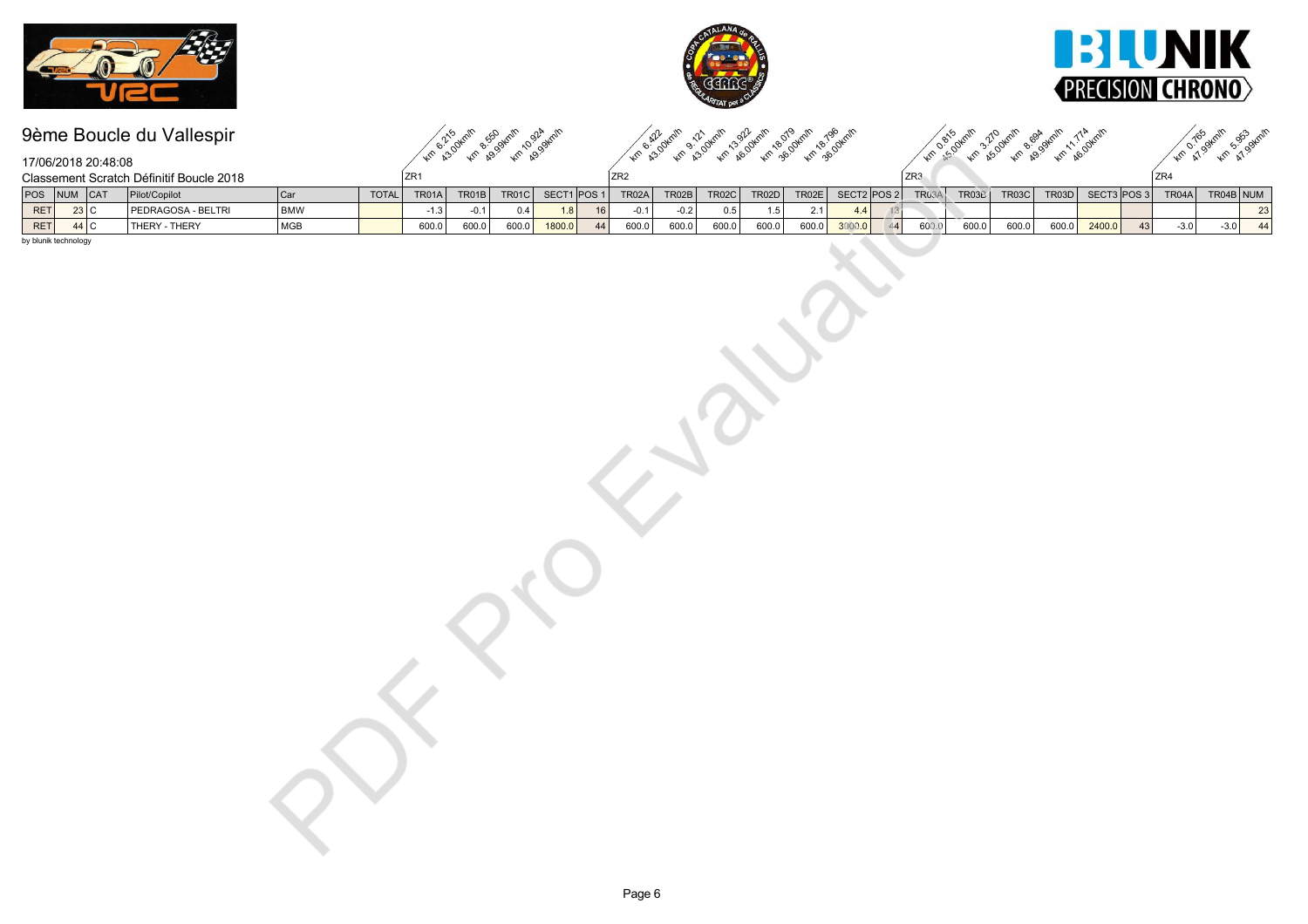





km som km bookm, 11.4 km

# 9ème Boucle du Vallespir

km R30 km R99 km R994 km km kalakur adalah kalakur adalah kalakur.<br>Km kalakur adalah kalakur adalah kalakur

Km o.165 Arnin Sasa Arnin

|     |                      | 17/06/2018 20:48:08 |                                          |            |       |              |        |       |                 |          |         |        |       |       |       |                   |    |       |              |       |                 |                  |    |        |           |                 |
|-----|----------------------|---------------------|------------------------------------------|------------|-------|--------------|--------|-------|-----------------|----------|---------|--------|-------|-------|-------|-------------------|----|-------|--------------|-------|-----------------|------------------|----|--------|-----------|-----------------|
|     |                      |                     | Classement Scratch Définitif Boucle 2018 |            |       | $\sqrt{2R1}$ |        |       |                 |          | ${ZR2}$ |        |       |       |       |                   |    | ZR3   |              |       |                 |                  |    | ZR4    |           |                 |
|     |                      | POS NUM CAT         | Pilot/Copilot                            | Car        | TOTAL | TR01A        | TR01B  | TR01C | SECT1 POS 1     |          | TR02A   | TR02B  | TR02C | TR02D | TR02E | SECT2 POS 2 TR03A |    |       | <b>TR03B</b> | TR03C | TR03D           | SECT3 POS3 TR04A |    |        | TR04B NUM |                 |
| RET |                      | $\overline{23}$ C   | PEDRAGOSA - BELTRI                       | <b>BMW</b> |       | $-1.3$       | $-0.1$ | 0.4   |                 | $1.8$ 16 | $-0.1$  | $-0.2$ | 0.5   | 1.5   | 2.1   | 4.4               | 13 |       |              |       |                 |                  |    |        |           | $\boxed{23}$    |
| RET |                      | 44 C                | THERY - THERY                            | MGB        |       | 600.0        | 600.0  | 600.0 | $\fbox{1800.0}$ | 44       | 600.0   | 600.0  | 600.0 | 600.0 | 600.0 | 3000.0            | 44 | 600.0 | 600.0        | 600.0 | $\boxed{600.0}$ | $2400.0$         | 43 | $-3.0$ | $-3.0$    | $\overline{44}$ |
|     | by blunik technology |                     |                                          |            |       |              |        |       |                 |          |         |        |       |       |       |                   |    |       |              |       |                 |                  |    |        |           |                 |
|     |                      |                     |                                          |            |       |              |        |       |                 |          |         |        |       |       |       |                   |    |       |              |       |                 |                  |    |        |           |                 |
|     |                      |                     |                                          |            |       |              |        |       |                 |          |         |        |       |       |       |                   |    |       |              |       |                 |                  |    |        |           |                 |
|     |                      |                     |                                          |            |       |              |        |       |                 |          |         |        |       |       |       |                   |    |       |              |       |                 |                  |    |        |           |                 |
|     |                      |                     |                                          |            |       |              |        |       |                 |          |         |        |       |       |       |                   |    |       |              |       |                 |                  |    |        |           |                 |
|     |                      |                     |                                          |            |       |              |        |       |                 |          |         |        |       |       |       |                   |    |       |              |       |                 |                  |    |        |           |                 |
|     |                      |                     |                                          |            |       |              |        |       |                 |          |         |        |       |       |       |                   |    |       |              |       |                 |                  |    |        |           |                 |
|     |                      |                     |                                          |            |       |              |        |       |                 |          |         |        |       |       |       |                   |    |       |              |       |                 |                  |    |        |           |                 |
|     |                      |                     |                                          |            |       |              |        |       |                 |          |         |        |       |       |       |                   |    |       |              |       |                 |                  |    |        |           |                 |
|     |                      |                     |                                          |            |       |              |        |       |                 |          |         |        |       |       |       |                   |    |       |              |       |                 |                  |    |        |           |                 |
|     |                      |                     |                                          |            |       |              |        |       |                 |          |         |        |       |       |       |                   |    |       |              |       |                 |                  |    |        |           |                 |
|     |                      |                     |                                          |            |       |              |        |       |                 |          |         |        |       |       |       |                   |    |       |              |       |                 |                  |    |        |           |                 |
|     |                      |                     |                                          |            |       |              |        |       |                 |          |         |        |       |       |       |                   |    |       |              |       |                 |                  |    |        |           |                 |
|     |                      |                     |                                          |            |       |              |        |       |                 |          |         |        |       |       |       |                   |    |       |              |       |                 |                  |    |        |           |                 |
|     |                      |                     |                                          |            |       |              |        |       |                 |          |         |        |       |       |       |                   |    |       |              |       |                 |                  |    |        |           |                 |
|     |                      |                     |                                          |            |       |              |        |       |                 |          |         |        |       |       |       |                   |    |       |              |       |                 |                  |    |        |           |                 |
|     |                      |                     |                                          |            |       |              |        |       |                 |          |         |        |       |       |       |                   |    |       |              |       |                 |                  |    |        |           |                 |
|     |                      |                     |                                          |            |       |              |        |       |                 |          |         |        |       |       |       |                   |    |       |              |       |                 |                  |    |        |           |                 |
|     |                      |                     |                                          |            |       |              |        |       |                 |          |         |        |       |       |       |                   |    |       |              |       |                 |                  |    |        |           |                 |
|     |                      |                     |                                          |            |       |              |        |       |                 |          |         |        |       |       |       |                   |    |       |              |       |                 |                  |    |        |           |                 |
|     |                      |                     |                                          |            |       |              |        |       |                 |          |         |        |       |       |       |                   |    |       |              |       |                 |                  |    |        |           |                 |
|     |                      |                     |                                          |            |       |              |        |       |                 |          |         |        |       |       |       |                   |    |       |              |       |                 |                  |    |        |           |                 |
|     |                      |                     |                                          |            |       |              |        |       |                 |          |         |        |       |       |       |                   |    |       |              |       |                 |                  |    |        |           |                 |
|     |                      |                     |                                          |            |       |              |        |       |                 |          |         |        |       |       |       |                   |    |       |              |       |                 |                  |    |        |           |                 |
|     |                      |                     |                                          |            |       |              |        |       |                 |          |         |        |       |       |       |                   |    |       |              |       |                 |                  |    |        |           |                 |
|     |                      |                     |                                          |            |       |              |        |       |                 |          |         |        |       |       |       |                   |    |       |              |       |                 |                  |    |        |           |                 |
|     |                      |                     |                                          |            |       |              |        |       |                 |          |         |        |       |       |       |                   |    |       |              |       |                 |                  |    |        |           |                 |
|     |                      |                     |                                          |            |       |              |        |       |                 |          |         |        |       |       |       |                   |    |       |              |       |                 |                  |    |        |           |                 |
|     |                      |                     |                                          |            |       |              |        |       |                 |          |         |        |       |       |       |                   |    |       |              |       |                 |                  |    |        |           |                 |
|     |                      |                     |                                          |            |       |              |        |       |                 |          |         |        |       |       |       |                   |    |       |              |       |                 |                  |    |        |           |                 |
|     |                      |                     |                                          |            |       |              |        |       |                 |          |         |        |       |       |       |                   |    |       |              |       |                 |                  |    |        |           |                 |
|     |                      |                     |                                          |            |       |              |        |       |                 |          |         |        |       |       |       |                   |    |       |              |       |                 |                  |    |        |           |                 |
|     |                      |                     |                                          |            |       |              |        |       |                 |          |         |        |       |       |       |                   |    |       |              |       |                 |                  |    |        |           |                 |
|     |                      |                     |                                          |            |       |              |        |       |                 |          |         |        |       |       |       |                   |    |       |              |       |                 |                  |    |        |           |                 |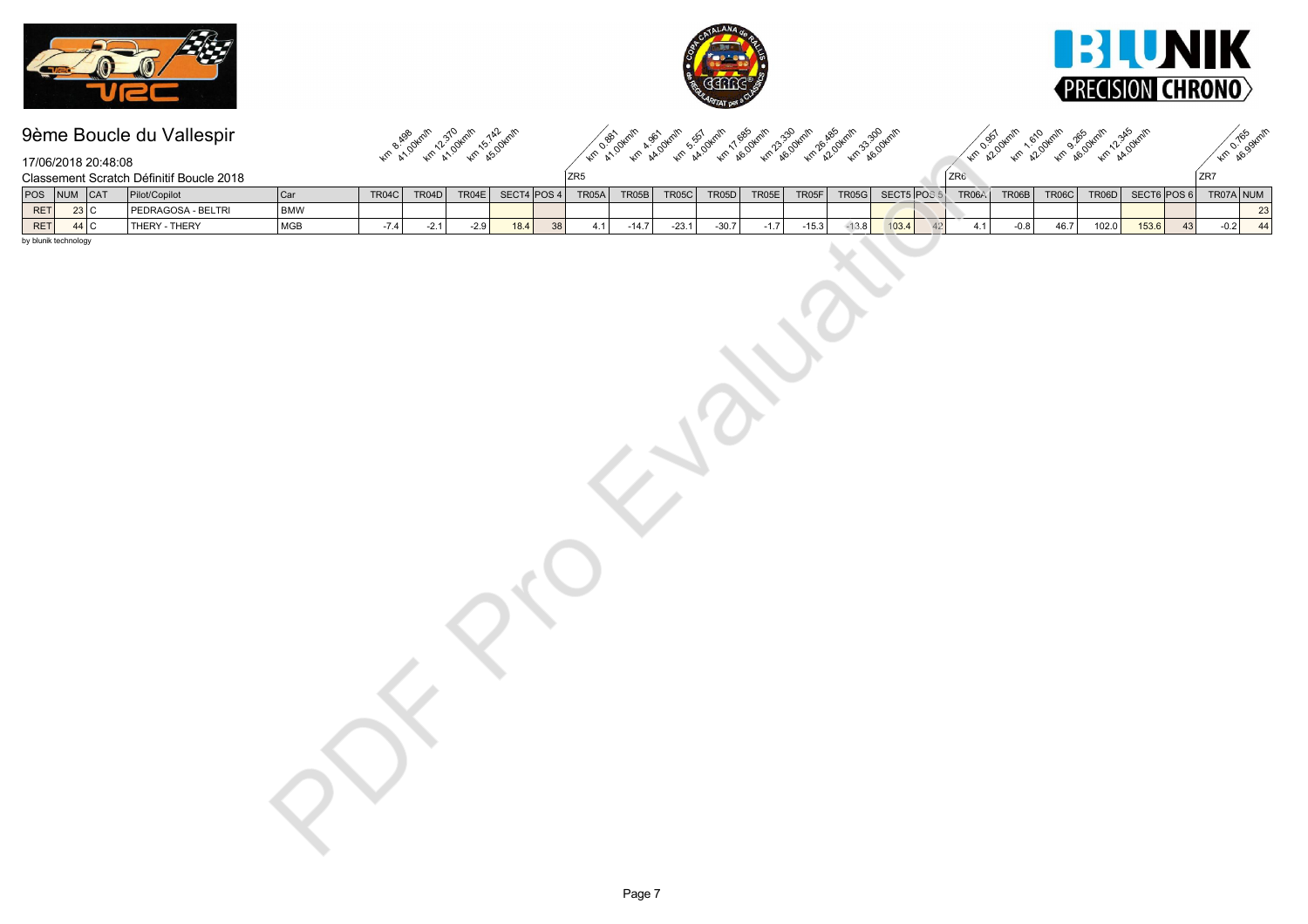





Km 8.499 Km 12.310 Km 15.30 Achin km 4.9 km 4.9 km 4.9 km 6.9 km 4.9 km 4.8 km 3.30 km km 20 km 12.0 km 10.00km 12.00km km **A.165** Skrith

|                      | 17/06/2018 20:48:08 |                                          |            |        |        |        |      |                 |                           |         |         |         |        |         |         |                   |                    |        |       |                |                |    | <b>Am</b> Ago.              |                                                       |
|----------------------|---------------------|------------------------------------------|------------|--------|--------|--------|------|-----------------|---------------------------|---------|---------|---------|--------|---------|---------|-------------------|--------------------|--------|-------|----------------|----------------|----|-----------------------------|-------------------------------------------------------|
|                      |                     | Classement Scratch Définitif Boucle 2018 |            |        |        |        |      |                 | $\sqrt{2}R5$              |         |         |         |        |         |         |                   | ZR6                |        |       |                |                |    | ${Z}R7$                     |                                                       |
|                      | POS NUM CAT         | Pilot/Copilot                            | Car        | TR04C  | TR04D  |        |      |                 | $TR04E$ SECT4 POS 4 TR05A | TR05B   | TR05C   | TR05D   | TR05E  | TR05F   |         | TR05G SECT5 POS 5 | TR06A              | TR06B  | TR06C |                |                |    | TR06D SECT6 POS 6 TR07A NUM |                                                       |
| RET                  | $\overline{23}$ C   | PEDRAGOSA - BELTRI                       | <b>BMW</b> |        |        |        |      |                 |                           |         |         |         |        |         |         |                   |                    |        |       |                |                |    |                             | $\begin{array}{r} \hline 23 \\ \hline 44 \end{array}$ |
| RET                  | $44$ C              | THERY - THERY                            | MGB        | $-7.4$ | $-2.1$ | $-2.9$ | 18.4 | $\overline{38}$ | 4.1                       | $-14.7$ | $-23.1$ | $-30.7$ | $-1.7$ | $-15.3$ | $-13.8$ | 103.4             | $\sqrt{42}$<br>4.1 | $-0.8$ | 46.7  | $\fbox{102.0}$ | $\fbox{153.6}$ | 43 | $-0.2$                      |                                                       |
| by blunik technology |                     |                                          |            |        |        |        |      |                 |                           |         |         |         |        |         |         |                   |                    |        |       |                |                |    |                             |                                                       |
|                      |                     |                                          |            |        |        |        |      |                 |                           |         |         |         |        |         |         |                   |                    |        |       |                |                |    |                             |                                                       |
|                      |                     |                                          |            |        |        |        |      |                 |                           |         |         |         |        |         |         |                   |                    |        |       |                |                |    |                             |                                                       |
|                      |                     |                                          |            |        |        |        |      |                 |                           |         |         |         |        |         |         |                   |                    |        |       |                |                |    |                             |                                                       |
|                      |                     |                                          |            |        |        |        |      |                 |                           |         |         |         |        |         |         |                   |                    |        |       |                |                |    |                             |                                                       |
|                      |                     |                                          |            |        |        |        |      |                 |                           |         |         |         |        |         |         |                   |                    |        |       |                |                |    |                             |                                                       |
|                      |                     |                                          |            |        |        |        |      |                 |                           |         |         |         |        |         |         |                   |                    |        |       |                |                |    |                             |                                                       |
|                      |                     |                                          |            |        |        |        |      |                 |                           |         |         |         |        |         |         |                   |                    |        |       |                |                |    |                             |                                                       |
|                      |                     |                                          |            |        |        |        |      |                 |                           |         |         |         |        |         |         |                   |                    |        |       |                |                |    |                             |                                                       |
|                      |                     |                                          |            |        |        |        |      |                 |                           |         |         |         |        |         |         |                   |                    |        |       |                |                |    |                             |                                                       |
|                      |                     |                                          |            |        |        |        |      |                 |                           |         |         |         |        |         |         |                   |                    |        |       |                |                |    |                             |                                                       |
|                      |                     |                                          |            |        |        |        |      |                 |                           |         |         |         |        |         |         |                   |                    |        |       |                |                |    |                             |                                                       |
|                      |                     |                                          |            |        |        |        |      |                 |                           |         |         |         |        |         |         |                   |                    |        |       |                |                |    |                             |                                                       |
|                      |                     |                                          |            |        |        |        |      |                 |                           |         |         |         |        |         |         |                   |                    |        |       |                |                |    |                             |                                                       |
|                      |                     |                                          |            |        |        |        |      |                 |                           |         |         |         |        |         |         |                   |                    |        |       |                |                |    |                             |                                                       |
|                      |                     |                                          |            |        |        |        |      |                 |                           |         |         |         |        |         |         |                   |                    |        |       |                |                |    |                             |                                                       |
|                      |                     |                                          |            |        |        |        |      |                 |                           |         |         |         |        |         |         |                   |                    |        |       |                |                |    |                             |                                                       |
|                      |                     |                                          |            |        |        |        |      |                 |                           |         |         |         |        |         |         |                   |                    |        |       |                |                |    |                             |                                                       |
|                      |                     |                                          |            |        |        |        |      |                 |                           |         |         |         |        |         |         |                   |                    |        |       |                |                |    |                             |                                                       |
|                      |                     |                                          |            |        |        |        |      |                 |                           |         |         |         |        |         |         |                   |                    |        |       |                |                |    |                             |                                                       |
|                      |                     |                                          |            |        |        |        |      |                 |                           |         |         |         |        |         |         |                   |                    |        |       |                |                |    |                             |                                                       |
|                      |                     |                                          |            |        |        |        |      |                 |                           |         |         |         |        |         |         |                   |                    |        |       |                |                |    |                             |                                                       |
|                      |                     |                                          |            |        |        |        |      |                 |                           |         |         |         |        |         |         |                   |                    |        |       |                |                |    |                             |                                                       |
|                      |                     |                                          |            |        |        |        |      |                 |                           |         |         |         |        |         |         |                   |                    |        |       |                |                |    |                             |                                                       |
|                      |                     |                                          |            |        |        |        |      |                 |                           |         |         |         |        |         |         |                   |                    |        |       |                |                |    |                             |                                                       |
|                      |                     |                                          |            |        |        |        |      |                 |                           |         |         |         |        |         |         |                   |                    |        |       |                |                |    |                             |                                                       |
|                      |                     |                                          |            |        |        |        |      |                 |                           |         |         |         |        |         |         |                   |                    |        |       |                |                |    |                             |                                                       |
|                      |                     |                                          |            |        |        |        |      |                 |                           |         |         |         |        |         |         |                   |                    |        |       |                |                |    |                             |                                                       |
|                      |                     |                                          |            |        |        |        |      |                 |                           |         |         |         |        |         |         |                   |                    |        |       |                |                |    |                             |                                                       |
|                      |                     |                                          |            |        |        |        |      |                 |                           |         |         |         |        |         |         |                   |                    |        |       |                |                |    |                             |                                                       |
|                      |                     |                                          |            |        |        |        |      |                 |                           |         |         |         |        |         |         |                   |                    |        |       |                |                |    |                             |                                                       |
|                      |                     |                                          |            |        |        |        |      |                 |                           |         |         |         |        |         |         |                   |                    |        |       |                |                |    |                             |                                                       |
|                      |                     |                                          |            |        |        |        |      |                 |                           |         |         |         |        |         |         |                   |                    |        |       |                |                |    |                             |                                                       |
|                      |                     |                                          |            |        |        |        |      |                 |                           |         |         |         |        |         |         |                   |                    |        |       |                |                |    |                             |                                                       |
|                      |                     |                                          |            |        |        |        |      |                 |                           |         |         |         |        |         |         |                   |                    |        |       |                |                |    |                             |                                                       |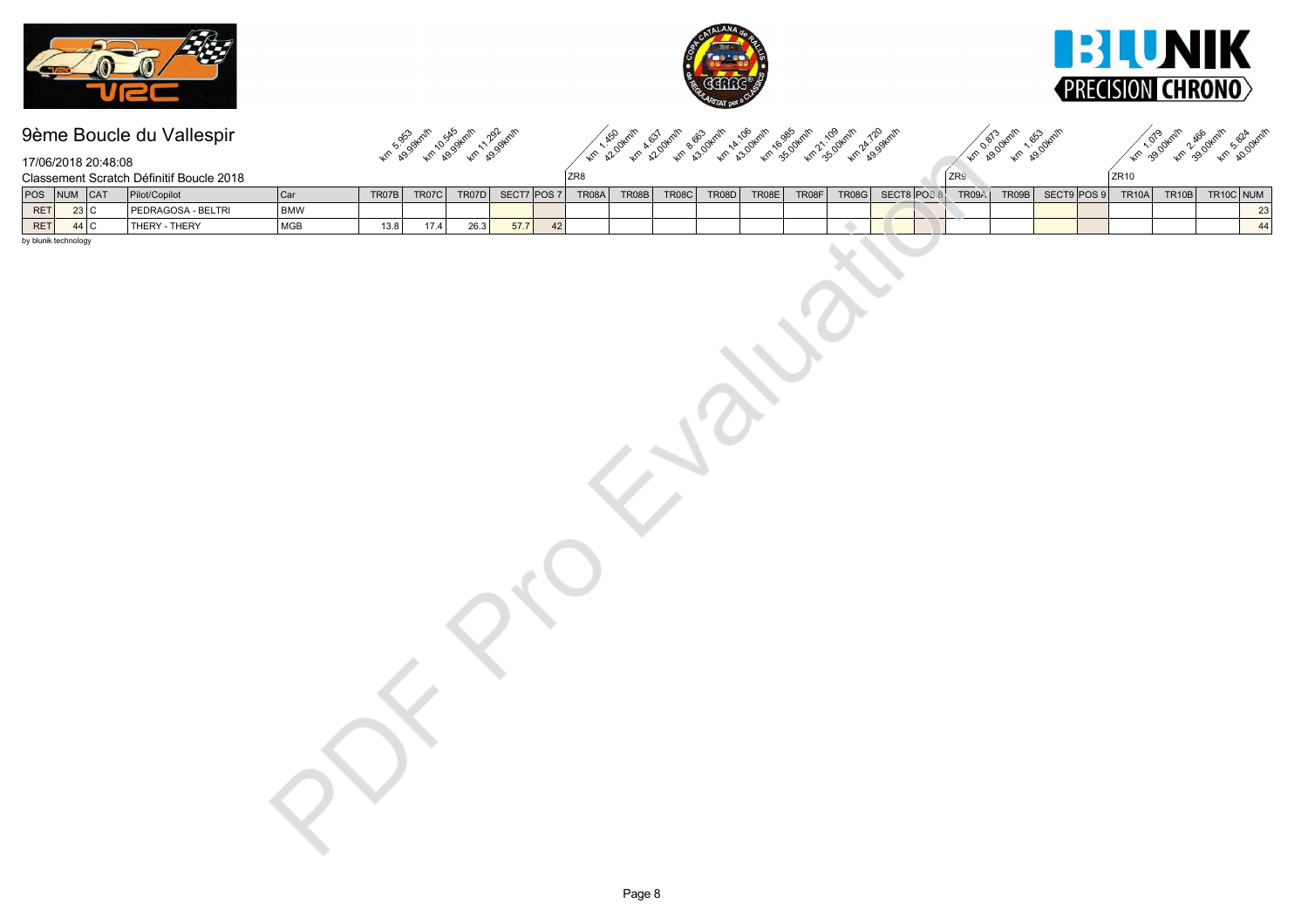





km kg3 km kg3 km kg3  $\chi_{\rm r}$  ,  $\chi_{\rm p}$  ,  $\chi_{\rm r}$  ,  $\chi_{\rm r}$  ,  $\chi_{\rm r}$  ,  $\chi_{\rm r}$  ,  $\chi_{\rm r}$  ,  $\chi_{\rm r}$  ,  $\chi_{\rm r}$  ,  $\chi_{\rm r}$  ,  $\chi_{\rm r}$  ,  $\chi_{\rm r}$  ,  $\chi_{\rm r}$  ,  $\chi_{\rm r}$  ,  $\chi_{\rm r}$  ,  $\chi_{\rm r}$  ,  $\chi_{\rm r}$  ,  $\chi_{\rm r}$  ,  $\chi_{\$ Km 28.09km/h 1.653 oknin km 2.90 km 2.90 km 2.90 km

17/06/2018 20:48:08

|                      | 17/06/2018 20:48:08 |                                          |                |       |                |                   |                | s,                |       |             |             |             |                         |     |       |             |               |       |           |                                                       |
|----------------------|---------------------|------------------------------------------|----------------|-------|----------------|-------------------|----------------|-------------------|-------|-------------|-------------|-------------|-------------------------|-----|-------|-------------|---------------|-------|-----------|-------------------------------------------------------|
|                      |                     | Classement Scratch Définitif Boucle 2018 |                |       |                |                   |                | ZR8               |       |             |             |             |                         | ZR9 |       |             | $\sqrt{2R10}$ |       |           |                                                       |
|                      | POS NUM CAT         | Pilot/Copilot                            | <sub>Car</sub> | TR07B | TR07C          | TR07D             |                | SECT7 POS 7 TR08A | TR08B | TR08C TR08D | TR08E TR08F |             | TR08G SECT8 POS 8 TR09A |     | TR09B | SECT9 POS 9 | TR10A         | TR10B | TR10C NUM |                                                       |
| RET                  | $\overline{23}$ C   | PEDRAGOSA - BELTRI                       | <b>BMW</b>     |       |                |                   |                |                   |       |             |             |             |                         |     |       |             |               |       |           | $\begin{array}{r} \hline 23 \\ \hline 44 \end{array}$ |
| RET                  | $44$ C              | THERY - THERY                            | MGB            | 13.8  | $\boxed{17.4}$ | $\overline{26.3}$ | $\boxed{57.7}$ | 42                |       |             |             | $\triangle$ |                         |     |       |             |               |       |           |                                                       |
| by blunik technology |                     |                                          |                |       |                |                   |                |                   |       |             |             |             |                         |     |       |             |               |       |           |                                                       |
|                      |                     |                                          |                |       |                |                   |                |                   |       |             |             |             |                         |     |       |             |               |       |           |                                                       |
|                      |                     |                                          |                |       |                |                   |                |                   |       |             |             |             |                         |     |       |             |               |       |           |                                                       |
|                      |                     |                                          |                |       |                |                   |                |                   |       |             |             |             |                         |     |       |             |               |       |           |                                                       |
|                      |                     |                                          |                |       |                |                   |                |                   |       |             |             |             |                         |     |       |             |               |       |           |                                                       |
|                      |                     |                                          |                |       |                |                   |                |                   |       |             |             |             |                         |     |       |             |               |       |           |                                                       |
|                      |                     |                                          |                |       |                |                   |                |                   |       |             |             |             |                         |     |       |             |               |       |           |                                                       |
|                      |                     |                                          |                |       |                |                   |                |                   |       |             |             |             |                         |     |       |             |               |       |           |                                                       |
|                      |                     |                                          |                |       |                |                   |                |                   |       |             |             |             |                         |     |       |             |               |       |           |                                                       |
|                      |                     |                                          |                |       |                |                   |                |                   |       |             |             |             |                         |     |       |             |               |       |           |                                                       |
|                      |                     |                                          |                |       |                |                   |                |                   |       |             |             |             |                         |     |       |             |               |       |           |                                                       |
|                      |                     |                                          |                |       |                |                   |                |                   |       |             |             |             |                         |     |       |             |               |       |           |                                                       |
|                      |                     |                                          |                |       |                |                   |                |                   |       |             |             |             |                         |     |       |             |               |       |           |                                                       |
|                      |                     |                                          |                |       |                |                   |                |                   |       |             |             |             |                         |     |       |             |               |       |           |                                                       |
|                      |                     |                                          |                |       |                |                   |                |                   |       |             |             |             |                         |     |       |             |               |       |           |                                                       |
|                      |                     |                                          |                |       |                |                   |                |                   |       |             |             |             |                         |     |       |             |               |       |           |                                                       |
|                      |                     |                                          |                |       |                |                   |                |                   |       |             |             |             |                         |     |       |             |               |       |           |                                                       |
|                      |                     |                                          |                |       |                |                   |                |                   |       |             |             |             |                         |     |       |             |               |       |           |                                                       |
|                      |                     |                                          |                |       |                |                   |                |                   |       |             |             |             |                         |     |       |             |               |       |           |                                                       |
|                      |                     |                                          |                |       |                |                   |                |                   |       |             |             |             |                         |     |       |             |               |       |           |                                                       |
|                      |                     |                                          |                |       |                |                   |                |                   |       |             |             |             |                         |     |       |             |               |       |           |                                                       |
|                      |                     |                                          |                |       |                |                   |                |                   |       |             |             |             |                         |     |       |             |               |       |           |                                                       |
|                      |                     |                                          |                |       |                |                   |                |                   |       |             |             |             |                         |     |       |             |               |       |           |                                                       |
|                      |                     |                                          |                |       |                |                   |                |                   |       |             |             |             |                         |     |       |             |               |       |           |                                                       |
|                      |                     |                                          |                |       |                |                   |                |                   |       |             |             |             |                         |     |       |             |               |       |           |                                                       |
|                      |                     |                                          |                |       |                |                   |                |                   |       |             |             |             |                         |     |       |             |               |       |           |                                                       |
|                      |                     |                                          |                |       |                |                   |                |                   |       |             |             |             |                         |     |       |             |               |       |           |                                                       |
|                      |                     |                                          |                |       |                |                   |                |                   |       |             |             |             |                         |     |       |             |               |       |           |                                                       |
|                      |                     |                                          |                |       |                |                   |                |                   |       |             |             |             |                         |     |       |             |               |       |           |                                                       |
|                      |                     |                                          |                |       |                |                   |                |                   |       |             |             |             |                         |     |       |             |               |       |           |                                                       |
|                      |                     |                                          |                |       |                |                   |                |                   |       |             |             |             |                         |     |       |             |               |       |           |                                                       |
|                      |                     |                                          |                |       |                |                   |                |                   |       |             |             |             |                         |     |       |             |               |       |           |                                                       |
|                      |                     |                                          |                |       |                |                   |                |                   |       |             |             |             |                         |     |       |             |               |       |           |                                                       |
|                      |                     |                                          |                |       |                |                   |                |                   |       |             |             |             |                         |     |       |             |               |       |           |                                                       |
|                      |                     |                                          |                |       |                |                   |                |                   |       |             |             |             |                         |     |       |             |               |       |           |                                                       |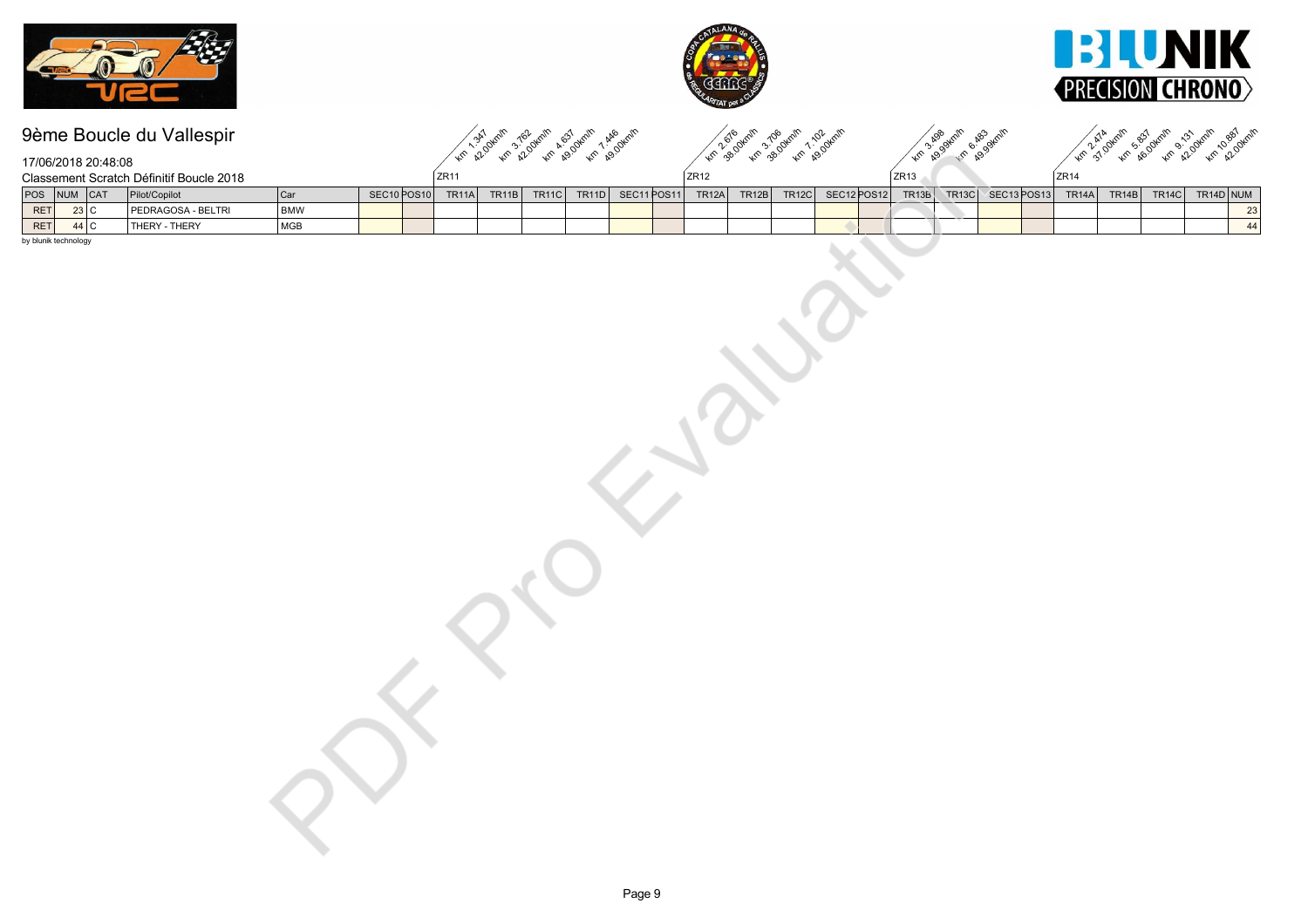





|                          | 9ème Boucle du Vallespir                 |                |             |               | Km A2.00Km/h | km 2162 km/h | Len 49.00 km/h | um A A46 Okrain   |                   | Kn 28/8/4m 3.108/4m 1.108/4m |       |             |               | Km Ass Oaknin | Km & Bookmin      |      | Kin 21 over 45 & dram a 3 dram |       |           | Km 10.00Km/h |
|--------------------------|------------------------------------------|----------------|-------------|---------------|--------------|--------------|----------------|-------------------|-------------------|------------------------------|-------|-------------|---------------|---------------|-------------------|------|--------------------------------|-------|-----------|--------------|
| 17/06/2018 20:48:08      |                                          |                |             |               |              |              |                |                   |                   |                              |       |             |               |               |                   |      |                                |       |           |              |
|                          | Classement Scratch Définitif Boucle 2018 |                |             | $\sqrt{2R11}$ |              |              |                |                   | $\sqrt{2R12}$     |                              |       |             | $\sqrt{2R13}$ |               |                   | ZR14 |                                |       |           |              |
| NUM CAT<br>POS           | Pilot/Copilot                            | <sub>Car</sub> | SEC10 POS10 | TR11A         | TR11B        | TR11C        |                | TR11D SEC11 POS11 | TR <sub>12A</sub> | TR <sub>12B</sub>            | TR12C | SEC12 POS12 | <b>TR13B</b>  |               | TR13C SEC13 POS13 |      | <b>TR14A</b><br>TR14B          | TR14C | TR14D NUM |              |
| RET<br>$\overline{23}$ C | PEDRAGOSA - BELTRI                       | <b>BMW</b>     |             |               |              |              |                |                   |                   |                              |       |             |               |               |                   |      |                                |       |           | $\boxed{23}$ |
| $44$ C<br><b>RET</b>     | THERY - THERY                            | MGB            |             |               |              |              |                |                   |                   |                              |       |             |               |               |                   |      |                                |       |           | 44           |
| by blunik technology     |                                          |                |             |               |              |              |                |                   |                   |                              |       |             |               |               |                   |      |                                |       |           |              |